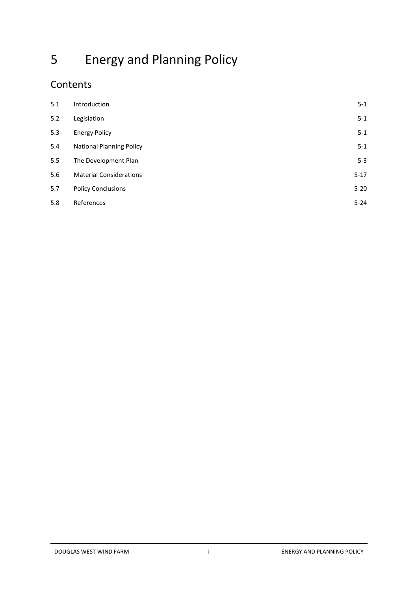# 5 Energy and Planning Policy

# **Contents**

| 5.1 | Introduction                    | $5 - 1$  |
|-----|---------------------------------|----------|
| 5.2 | Legislation                     | $5 - 1$  |
| 5.3 | <b>Energy Policy</b>            | $5 - 1$  |
| 5.4 | <b>National Planning Policy</b> | $5 - 1$  |
| 5.5 | The Development Plan            | $5 - 3$  |
| 5.6 | <b>Material Considerations</b>  | $5-17$   |
| 5.7 | <b>Policy Conclusions</b>       | $5 - 20$ |
| 5.8 | References                      | $5 - 24$ |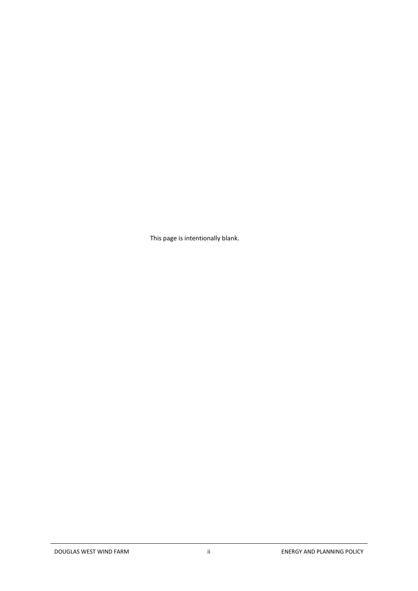This page is intentionally blank.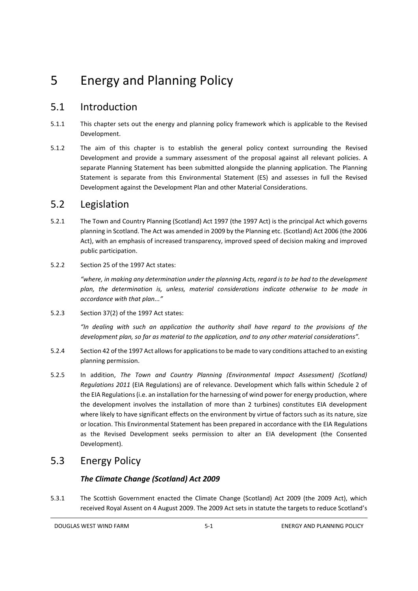# 5 Energy and Planning Policy

## <span id="page-2-0"></span>5.1 Introduction

- 5.1.1 This chapter sets out the energy and planning policy framework which is applicable to the Revised Development.
- 5.1.2 The aim of this chapter is to establish the general policy context surrounding the Revised Development and provide a summary assessment of the proposal against all relevant policies. A separate Planning Statement has been submitted alongside the planning application. The Planning Statement is separate from this Environmental Statement (ES) and assesses in full the Revised Development against the Development Plan and other Material Considerations.

### <span id="page-2-1"></span>5.2 Legislation

- 5.2.1 The Town and Country Planning (Scotland) Act 1997 (the 1997 Act) is the principal Act which governs planning in Scotland. The Act was amended in 2009 by the Planning etc. (Scotland) Act 2006 (the 2006 Act), with an emphasis of increased transparency, improved speed of decision making and improved public participation.
- 5.2.2 Section 25 of the 1997 Act states:

*"where, in making any determination under the planning Acts, regard is to be had to the development plan, the determination is, unless, material considerations indicate otherwise to be made in accordance with that plan..."* 

5.2.3 Section 37(2) of the 1997 Act states:

*"In dealing with such an application the authority shall have regard to the provisions of the development plan, so far as material to the application, and to any other material considerations".* 

- 5.2.4 Section 42 of the 1997 Act allows for applications to be made to vary conditions attached to an existing planning permission.
- 5.2.5 In addition, *The Town and Country Planning (Environmental Impact Assessment) (Scotland) Regulations 2011* (EIA Regulations) are of relevance. Development which falls within Schedule 2 of the EIA Regulations (i.e. an installation for the harnessing of wind power for energy production, where the development involves the installation of more than 2 turbines) constitutes EIA development where likely to have significant effects on the environment by virtue of factors such as its nature, size or location. This Environmental Statement has been prepared in accordance with the EIA Regulations as the Revised Development seeks permission to alter an EIA development (the Consented Development).

## <span id="page-2-3"></span><span id="page-2-2"></span>5.3 Energy Policy

#### *The Climate Change (Scotland) Act 2009*

5.3.1 The Scottish Government enacted the Climate Change (Scotland) Act 2009 (the 2009 Act), which received Royal Assent on 4 August 2009. The 2009 Act sets in statute the targets to reduce Scotland's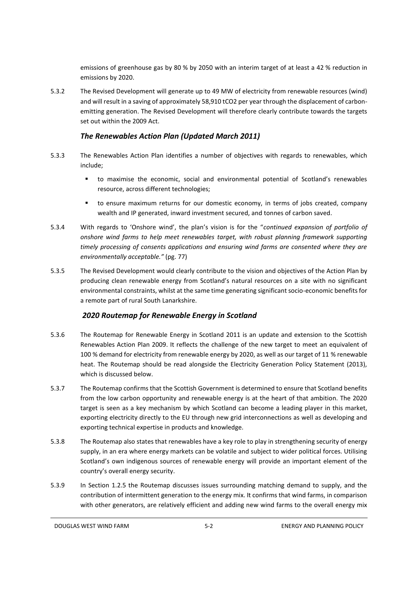emissions of greenhouse gas by 80 % by 2050 with an interim target of at least a 42 % reduction in emissions by 2020.

5.3.2 The Revised Development will generate up to 49 MW of electricity from renewable resources (wind) and will result in a saving of approximately 58,910 tCO2 per year through the displacement of carbonemitting generation. The Revised Development will therefore clearly contribute towards the targets set out within the 2009 Act.

#### *The Renewables Action Plan (Updated March 2011)*

- 5.3.3 The Renewables Action Plan identifies a number of objectives with regards to renewables, which include;
	- to maximise the economic, social and environmental potential of Scotland's renewables resource, across different technologies;
	- to ensure maximum returns for our domestic economy, in terms of jobs created, company wealth and IP generated, inward investment secured, and tonnes of carbon saved.
- 5.3.4 With regards to 'Onshore wind', the plan's vision is for the "*continued expansion of portfolio of onshore wind farms to help meet renewables target, with robust planning framework supporting timely processing of consents applications and ensuring wind farms are consented where they are environmentally acceptable."* (pg. 77)
- 5.3.5 The Revised Development would clearly contribute to the vision and objectives of the Action Plan by producing clean renewable energy from Scotland's natural resources on a site with no significant environmental constraints, whilst at the same time generating significant socio-economic benefits for a remote part of rural South Lanarkshire.

#### *2020 Routemap for Renewable Energy in Scotland*

- 5.3.6 The Routemap for Renewable Energy in Scotland 2011 is an update and extension to the Scottish Renewables Action Plan 2009. It reflects the challenge of the new target to meet an equivalent of 100 % demand for electricity from renewable energy by 2020, as well as our target of 11 % renewable heat. The Routemap should be read alongside the Electricity Generation Policy Statement (2013), which is discussed below.
- 5.3.7 The Routemap confirms that the Scottish Government is determined to ensure that Scotland benefits from the low carbon opportunity and renewable energy is at the heart of that ambition. The 2020 target is seen as a key mechanism by which Scotland can become a leading player in this market, exporting electricity directly to the EU through new grid interconnections as well as developing and exporting technical expertise in products and knowledge.
- 5.3.8 The Routemap also states that renewables have a key role to play in strengthening security of energy supply, in an era where energy markets can be volatile and subject to wider political forces. Utilising Scotland's own indigenous sources of renewable energy will provide an important element of the country's overall energy security.
- 5.3.9 In Section 1.2.5 the Routemap discusses issues surrounding matching demand to supply, and the contribution of intermittent generation to the energy mix. It confirms that wind farms, in comparison with other generators, are relatively efficient and adding new wind farms to the overall energy mix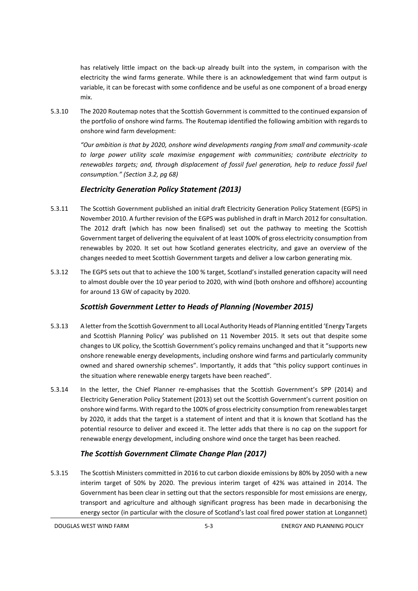has relatively little impact on the back-up already built into the system, in comparison with the electricity the wind farms generate. While there is an acknowledgement that wind farm output is variable, it can be forecast with some confidence and be useful as one component of a broad energy mix.

5.3.10 The 2020 Routemap notes that the Scottish Government is committed to the continued expansion of the portfolio of onshore wind farms. The Routemap identified the following ambition with regards to onshore wind farm development:

*"Our ambition is that by 2020, onshore wind developments ranging from small and community-scale to large power utility scale maximise engagement with communities; contribute electricity to renewables targets; and, through displacement of fossil fuel generation, help to reduce fossil fuel consumption." (Section 3.2, pg 68)*

#### *Electricity Generation Policy Statement (2013)*

- 5.3.11 The Scottish Government published an initial draft Electricity Generation Policy Statement (EGPS) in November 2010. A further revision of the EGPS was published in draft in March 2012 for consultation. The 2012 draft (which has now been finalised) set out the pathway to meeting the Scottish Government target of delivering the equivalent of at least 100% of gross electricity consumption from renewables by 2020. It set out how Scotland generates electricity, and gave an overview of the changes needed to meet Scottish Government targets and deliver a low carbon generating mix.
- 5.3.12 The EGPS sets out that to achieve the 100 % target, Scotland's installed generation capacity will need to almost double over the 10 year period to 2020, with wind (both onshore and offshore) accounting for around 13 GW of capacity by 2020.

#### *Scottish Government Letter to Heads of Planning (November 2015)*

- 5.3.13 A letter from the Scottish Government to all Local Authority Heads of Planning entitled 'Energy Targets and Scottish Planning Policy' was published on 11 November 2015. It sets out that despite some changes to UK policy, the Scottish Government's policy remains unchanged and that it "supports new onshore renewable energy developments, including onshore wind farms and particularly community owned and shared ownership schemes". Importantly, it adds that "this policy support continues in the situation where renewable energy targets have been reached".
- 5.3.14 In the letter, the Chief Planner re-emphasises that the Scottish Government's SPP (2014) and Electricity Generation Policy Statement (2013) set out the Scottish Government's current position on onshore wind farms. With regard to the 100% of gross electricity consumption from renewables target by 2020, it adds that the target is a statement of intent and that it is known that Scotland has the potential resource to deliver and exceed it. The letter adds that there is no cap on the support for renewable energy development, including onshore wind once the target has been reached.

#### *The Scottish Government Climate Change Plan (2017)*

5.3.15 The Scottish Ministers committed in 2016 to cut carbon dioxide emissions by 80% by 2050 with a new interim target of 50% by 2020. The previous interim target of 42% was attained in 2014. The Government has been clear in setting out that the sectors responsible for most emissions are energy, transport and agriculture and although significant progress has been made in decarbonising the energy sector (in particular with the closure of Scotland's last coal fired power station at Longannet)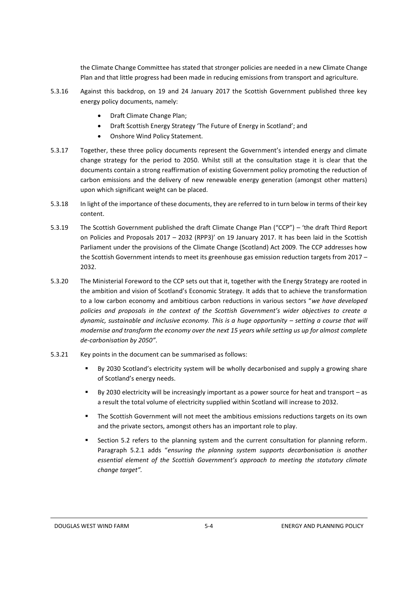the Climate Change Committee has stated that stronger policies are needed in a new Climate Change Plan and that little progress had been made in reducing emissions from transport and agriculture.

- 5.3.16 Against this backdrop, on 19 and 24 January 2017 the Scottish Government published three key energy policy documents, namely:
	- Draft Climate Change Plan;
	- Draft Scottish Energy Strategy 'The Future of Energy in Scotland'; and
	- Onshore Wind Policy Statement.
- 5.3.17 Together, these three policy documents represent the Government's intended energy and climate change strategy for the period to 2050. Whilst still at the consultation stage it is clear that the documents contain a strong reaffirmation of existing Government policy promoting the reduction of carbon emissions and the delivery of new renewable energy generation (amongst other matters) upon which significant weight can be placed.
- 5.3.18 In light of the importance of these documents, they are referred to in turn below in terms of their key content.
- 5.3.19 The Scottish Government published the draft Climate Change Plan ("CCP") 'the draft Third Report on Policies and Proposals 2017 – 2032 (RPP3)' on 19 January 2017. It has been laid in the Scottish Parliament under the provisions of the Climate Change (Scotland) Act 2009. The CCP addresses how the Scottish Government intends to meet its greenhouse gas emission reduction targets from 2017 -2032.
- 5.3.20 The Ministerial Foreword to the CCP sets out that it, together with the Energy Strategy are rooted in the ambition and vision of Scotland's Economic Strategy. It adds that to achieve the transformation to a low carbon economy and ambitious carbon reductions in various sectors "*we have developed policies and proposals in the context of the Scottish Government's wider objectives to create a dynamic, sustainable and inclusive economy. This is a huge opportunity – setting a course that will modernise and transform the economy over the next 15 years while setting us up for almost complete de-carbonisation by 2050"*.
- 5.3.21 Key points in the document can be summarised as follows:
	- By 2030 Scotland's electricity system will be wholly decarbonised and supply a growing share of Scotland's energy needs.
	- By 2030 electricity will be increasingly important as a power source for heat and transport as a result the total volume of electricity supplied within Scotland will increase to 2032.
	- The Scottish Government will not meet the ambitious emissions reductions targets on its own and the private sectors, amongst others has an important role to play.
	- **Section 5.2 refers to the planning system and the current consultation for planning reform.** Paragraph 5.2.1 adds "*ensuring the planning system supports decarbonisation is another essential element of the Scottish Government's approach to meeting the statutory climate change target".*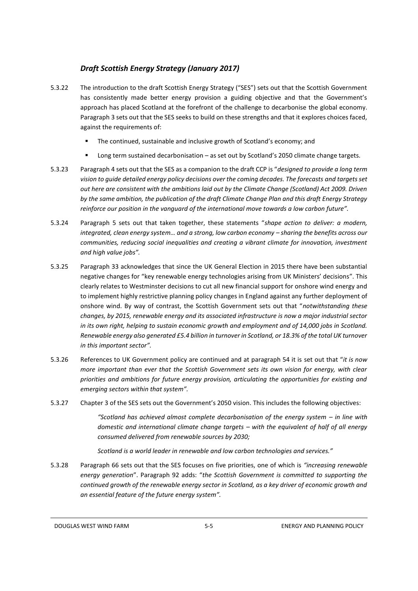#### *Draft Scottish Energy Strategy (January 2017)*

- 5.3.22 The introduction to the draft Scottish Energy Strategy ("SES") sets out that the Scottish Government has consistently made better energy provision a guiding objective and that the Government's approach has placed Scotland at the forefront of the challenge to decarbonise the global economy. Paragraph 3 sets out that the SES seeks to build on these strengths and that it explores choices faced, against the requirements of:
	- The continued, sustainable and inclusive growth of Scotland's economy; and
	- **Long term sustained decarbonisation as set out by Scotland's 2050 climate change targets.**
- 5.3.23 Paragraph 4 sets out that the SES as a companion to the draft CCP is "*designed to provide a long term vision to guide detailed energy policy decisions over the coming decades. The forecasts and targets set out here are consistent with the ambitions laid out by the Climate Change (Scotland) Act 2009. Driven by the same ambition, the publication of the draft Climate Change Plan and this draft Energy Strategy reinforce our position in the vanguard of the international move towards a low carbon future".*
- 5.3.24 Paragraph 5 sets out that taken together, these statements "*shape action to deliver: a modern, integrated, clean energy system… and a strong, low carbon economy – sharing the benefits across our communities, reducing social inequalities and creating a vibrant climate for innovation, investment and high value jobs".*
- 5.3.25 Paragraph 33 acknowledges that since the UK General Election in 2015 there have been substantial negative changes for "key renewable energy technologies arising from UK Ministers' decisions". This clearly relates to Westminster decisions to cut all new financial support for onshore wind energy and to implement highly restrictive planning policy changes in England against any further deployment of onshore wind. By way of contrast, the Scottish Government sets out that "*notwithstanding these changes, by 2015, renewable energy and its associated infrastructure is now a major industrial sector in its own right, helping to sustain economic growth and employment and of 14,000 jobs in Scotland. Renewable energy also generated £5.4 billion in turnover in Scotland, or 18.3% of the total UK turnover in this important sector".*
- 5.3.26 References to UK Government policy are continued and at paragraph 54 it is set out that "*it is now more important than ever that the Scottish Government sets its own vision for energy, with clear priorities and ambitions for future energy provision, articulating the opportunities for existing and emerging sectors within that system".*
- 5.3.27 Chapter 3 of the SES sets out the Government's 2050 vision. This includes the following objectives:

*"Scotland has achieved almost complete decarbonisation of the energy system – in line with domestic and international climate change targets – with the equivalent of half of all energy consumed delivered from renewable sources by 2030;* 

*Scotland is a world leader in renewable and low carbon technologies and services."* 

5.3.28 Paragraph 66 sets out that the SES focuses on five priorities, one of which is *"increasing renewable energy generation*". Paragraph 92 adds: "*the Scottish Government is committed to supporting the continued growth of the renewable energy sector in Scotland, as a key driver of economic growth and an essential feature of the future energy system".*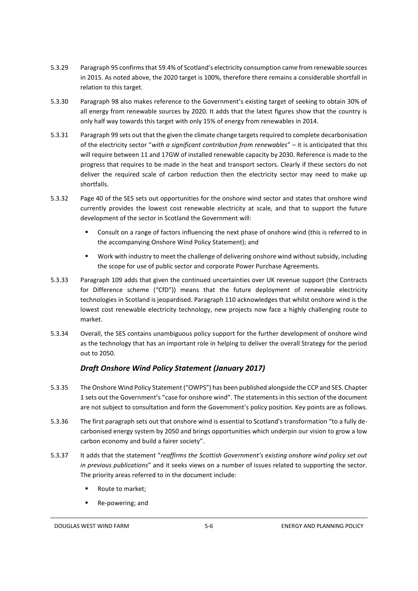- 5.3.29 Paragraph 95 confirms that 59.4% of Scotland's electricity consumption came from renewable sources in 2015. As noted above, the 2020 target is 100%, therefore there remains a considerable shortfall in relation to this target.
- 5.3.30 Paragraph 98 also makes reference to the Government's existing target of seeking to obtain 30% of all energy from renewable sources by 2020. It adds that the latest figures show that the country is only half way towards this target with only 15% of energy from renewables in 2014.
- 5.3.31 Paragraph 99 sets out that the given the climate change targets required to complete decarbonisation of the electricity sector "*with a significant contribution from renewables*" – it is anticipated that this will require between 11 and 17GW of installed renewable capacity by 2030. Reference is made to the progress that requires to be made in the heat and transport sectors. Clearly if these sectors do not deliver the required scale of carbon reduction then the electricity sector may need to make up shortfalls.
- 5.3.32 Page 40 of the SES sets out opportunities for the onshore wind sector and states that onshore wind currently provides the lowest cost renewable electricity at scale, and that to support the future development of the sector in Scotland the Government will:
	- Consult on a range of factors influencing the next phase of onshore wind (this is referred to in the accompanying Onshore Wind Policy Statement); and
	- Work with industry to meet the challenge of delivering onshore wind without subsidy, including the scope for use of public sector and corporate Power Purchase Agreements.
- 5.3.33 Paragraph 109 adds that given the continued uncertainties over UK revenue support (the Contracts for Difference scheme ("CfD")) means that the future deployment of renewable electricity technologies in Scotland is jeopardised. Paragraph 110 acknowledges that whilst onshore wind is the lowest cost renewable electricity technology, new projects now face a highly challenging route to market.
- 5.3.34 Overall, the SES contains unambiguous policy support for the further development of onshore wind as the technology that has an important role in helping to deliver the overall Strategy for the period out to 2050.

#### *Draft Onshore Wind Policy Statement (January 2017)*

- 5.3.35 The Onshore Wind Policy Statement ("OWPS") has been published alongside the CCP and SES. Chapter 1 sets out the Government's "case for onshore wind". The statements in this section of the document are not subject to consultation and form the Government's policy position. Key points are as follows.
- 5.3.36 The first paragraph sets out that onshore wind is essential to Scotland's transformation "to a fully decarbonised energy system by 2050 and brings opportunities which underpin our vision to grow a low carbon economy and build a fairer society".
- 5.3.37 It adds that the statement "*reaffirms the Scottish Government's existing onshore wind policy set out in previous publications*" and it seeks views on a number of issues related to supporting the sector. The priority areas referred to in the document include:
	- Route to market;
	- **Re-powering; and**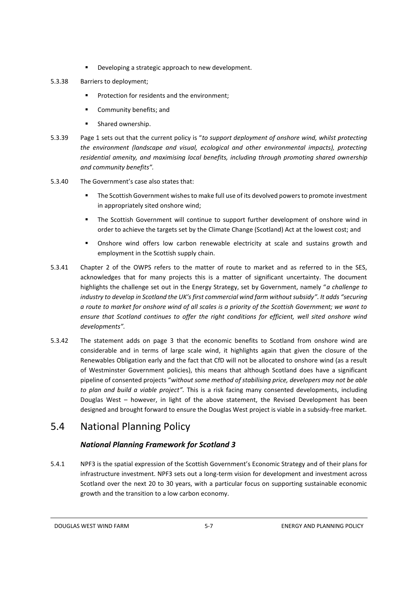- **•** Developing a strategic approach to new development.
- 5.3.38 Barriers to deployment;
	- **Protection for residents and the environment;**
	- **Community benefits; and**
	- **Shared ownership.**
- 5.3.39 Page 1 sets out that the current policy is "*to support deployment of onshore wind, whilst protecting the environment (landscape and visual, ecological and other environmental impacts), protecting residential amenity, and maximising local benefits, including through promoting shared ownership and community benefits".*
- 5.3.40 The Government's case also states that:
	- The Scottish Government wishes to make full use of its devolved powers to promote investment in appropriately sited onshore wind;
	- The Scottish Government will continue to support further development of onshore wind in order to achieve the targets set by the Climate Change (Scotland) Act at the lowest cost; and
	- Onshore wind offers low carbon renewable electricity at scale and sustains growth and employment in the Scottish supply chain.
- 5.3.41 Chapter 2 of the OWPS refers to the matter of route to market and as referred to in the SES, acknowledges that for many projects this is a matter of significant uncertainty. The document highlights the challenge set out in the Energy Strategy, set by Government, namely "*a challenge to industry to develop in Scotland the UK's first commercial wind farm without subsidy". It adds "securing a route to market for onshore wind of all scales is a priority of the Scottish Government; we want to ensure that Scotland continues to offer the right conditions for efficient, well sited onshore wind developments".*
- 5.3.42 The statement adds on page 3 that the economic benefits to Scotland from onshore wind are considerable and in terms of large scale wind, it highlights again that given the closure of the Renewables Obligation early and the fact that CfD will not be allocated to onshore wind (as a result of Westminster Government policies), this means that although Scotland does have a significant pipeline of consented projects "*without some method of stabilising price, developers may not be able to plan and build a viable project".* This is a risk facing many consented developments, including Douglas West – however, in light of the above statement, the Revised Development has been designed and brought forward to ensure the Douglas West project is viable in a subsidy-free market.

# 5.4 National Planning Policy

#### *National Planning Framework for Scotland 3*

5.4.1 NPF3 is the spatial expression of the Scottish Government's Economic Strategy and of their plans for infrastructure investment. NPF3 sets out a long-term vision for development and investment across Scotland over the next 20 to 30 years, with a particular focus on supporting sustainable economic growth and the transition to a low carbon economy.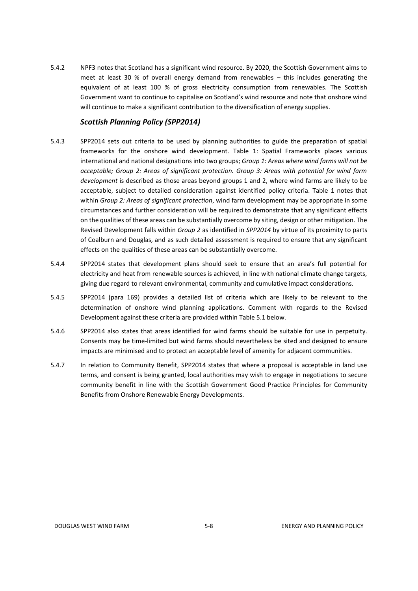5.4.2 NPF3 notes that Scotland has a significant wind resource. By 2020, the Scottish Government aims to meet at least 30 % of overall energy demand from renewables – this includes generating the equivalent of at least 100 % of gross electricity consumption from renewables. The Scottish Government want to continue to capitalise on Scotland's wind resource and note that onshore wind will continue to make a significant contribution to the diversification of energy supplies.

#### *Scottish Planning Policy (SPP2014)*

- 5.4.3 SPP2014 sets out criteria to be used by planning authorities to guide the preparation of spatial frameworks for the onshore wind development. Table 1: Spatial Frameworks places various international and national designations into two groups; *Group 1: Areas where wind farms will not be acceptable; Group 2: Areas of significant protection. Group 3: Areas with potential for wind farm development* is described as those areas beyond groups 1 and 2, where wind farms are likely to be acceptable, subject to detailed consideration against identified policy criteria. Table 1 notes that within *Group 2: Areas of significant protection*, wind farm development may be appropriate in some circumstances and further consideration will be required to demonstrate that any significant effects on the qualities of these areas can be substantially overcome by siting, design or other mitigation. The Revised Development falls within *Group 2* as identified in *SPP2014* by virtue of its proximity to parts of Coalburn and Douglas, and as such detailed assessment is required to ensure that any significant effects on the qualities of these areas can be substantially overcome.
- 5.4.4 SPP2014 states that development plans should seek to ensure that an area's full potential for electricity and heat from renewable sources is achieved, in line with national climate change targets, giving due regard to relevant environmental, community and cumulative impact considerations.
- 5.4.5 SPP2014 (para 169) provides a detailed list of criteria which are likely to be relevant to the determination of onshore wind planning applications. Comment with regards to the Revised Development against these criteria are provided within Table 5.1 below.
- 5.4.6 SPP2014 also states that areas identified for wind farms should be suitable for use in perpetuity. Consents may be time-limited but wind farms should nevertheless be sited and designed to ensure impacts are minimised and to protect an acceptable level of amenity for adjacent communities.
- 5.4.7 In relation to Community Benefit, SPP2014 states that where a proposal is acceptable in land use terms, and consent is being granted, local authorities may wish to engage in negotiations to secure community benefit in line with the Scottish Government Good Practice Principles for Community Benefits from Onshore Renewable Energy Developments.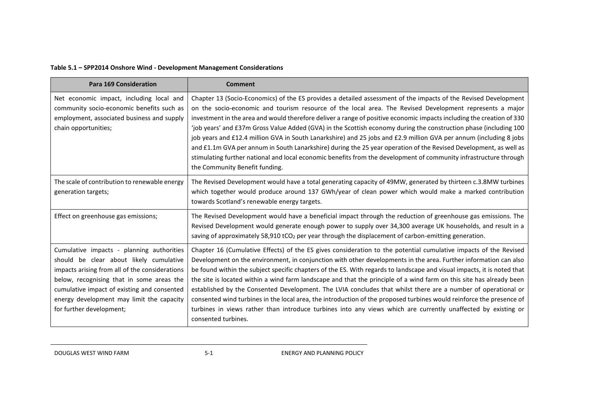#### **Table 5.1 – SPP2014 Onshore Wind - Development Management Considerations**

| <b>Para 169 Consideration</b>                                                                                                                                                                                                                                                                               | <b>Comment</b>                                                                                                                                                                                                                                                                                                                                                                                                                                                                                                                                                                                                                                                                                                                                                                                                                                                              |
|-------------------------------------------------------------------------------------------------------------------------------------------------------------------------------------------------------------------------------------------------------------------------------------------------------------|-----------------------------------------------------------------------------------------------------------------------------------------------------------------------------------------------------------------------------------------------------------------------------------------------------------------------------------------------------------------------------------------------------------------------------------------------------------------------------------------------------------------------------------------------------------------------------------------------------------------------------------------------------------------------------------------------------------------------------------------------------------------------------------------------------------------------------------------------------------------------------|
| Net economic impact, including local and<br>community socio-economic benefits such as<br>employment, associated business and supply<br>chain opportunities;                                                                                                                                                 | Chapter 13 (Socio-Economics) of the ES provides a detailed assessment of the impacts of the Revised Development<br>on the socio-economic and tourism resource of the local area. The Revised Development represents a major<br>investment in the area and would therefore deliver a range of positive economic impacts including the creation of 330<br>'job years' and £37m Gross Value Added (GVA) in the Scottish economy during the construction phase (including 100<br>job years and £12.4 million GVA in South Lanarkshire) and 25 jobs and £2.9 million GVA per annum (including 8 jobs<br>and £1.1m GVA per annum in South Lanarkshire) during the 25 year operation of the Revised Development, as well as<br>stimulating further national and local economic benefits from the development of community infrastructure through<br>the Community Benefit funding. |
| The scale of contribution to renewable energy<br>generation targets;                                                                                                                                                                                                                                        | The Revised Development would have a total generating capacity of 49MW, generated by thirteen c.3.8MW turbines<br>which together would produce around 137 GWh/year of clean power which would make a marked contribution<br>towards Scotland's renewable energy targets.                                                                                                                                                                                                                                                                                                                                                                                                                                                                                                                                                                                                    |
| Effect on greenhouse gas emissions;                                                                                                                                                                                                                                                                         | The Revised Development would have a beneficial impact through the reduction of greenhouse gas emissions. The<br>Revised Development would generate enough power to supply over 34,300 average UK households, and result in a<br>saving of approximately 58,910 tCO <sub>2</sub> per year through the displacement of carbon-emitting generation.                                                                                                                                                                                                                                                                                                                                                                                                                                                                                                                           |
| Cumulative impacts - planning authorities<br>should be clear about likely cumulative<br>impacts arising from all of the considerations<br>below, recognising that in some areas the<br>cumulative impact of existing and consented<br>energy development may limit the capacity<br>for further development; | Chapter 16 (Cumulative Effects) of the ES gives consideration to the potential cumulative impacts of the Revised<br>Development on the environment, in conjunction with other developments in the area. Further information can also<br>be found within the subject specific chapters of the ES. With regards to landscape and visual impacts, it is noted that<br>the site is located within a wind farm landscape and that the principle of a wind farm on this site has already been<br>established by the Consented Development. The LVIA concludes that whilst there are a number of operational or<br>consented wind turbines in the local area, the introduction of the proposed turbines would reinforce the presence of<br>turbines in views rather than introduce turbines into any views which are currently unaffected by existing or<br>consented turbines.    |

DOUGLAS WEST WIND FARM **5-1** 5-1 ENERGY AND PLANNING POLICY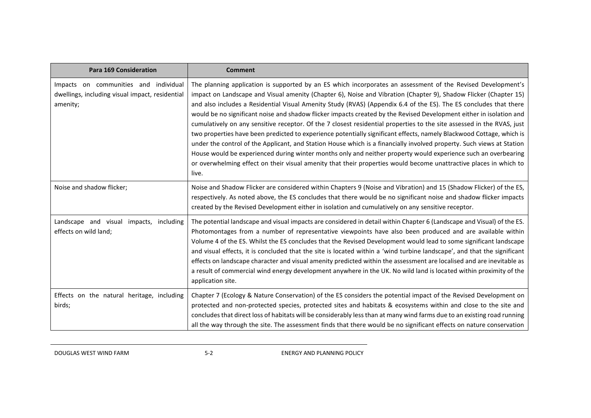| <b>Para 169 Consideration</b>                                                                        | <b>Comment</b>                                                                                                                                                                                                                                                                                                                                                                                                                                                                                                                                                                                                                                                                                                                                                                                                                                                                                                                                                                                                                                                                                          |
|------------------------------------------------------------------------------------------------------|---------------------------------------------------------------------------------------------------------------------------------------------------------------------------------------------------------------------------------------------------------------------------------------------------------------------------------------------------------------------------------------------------------------------------------------------------------------------------------------------------------------------------------------------------------------------------------------------------------------------------------------------------------------------------------------------------------------------------------------------------------------------------------------------------------------------------------------------------------------------------------------------------------------------------------------------------------------------------------------------------------------------------------------------------------------------------------------------------------|
| Impacts on communities and individual<br>dwellings, including visual impact, residential<br>amenity; | The planning application is supported by an ES which incorporates an assessment of the Revised Development's<br>impact on Landscape and Visual amenity (Chapter 6), Noise and Vibration (Chapter 9), Shadow Flicker (Chapter 15)<br>and also includes a Residential Visual Amenity Study (RVAS) (Appendix 6.4 of the ES). The ES concludes that there<br>would be no significant noise and shadow flicker impacts created by the Revised Development either in isolation and<br>cumulatively on any sensitive receptor. Of the 7 closest residential properties to the site assessed in the RVAS, just<br>two properties have been predicted to experience potentially significant effects, namely Blackwood Cottage, which is<br>under the control of the Applicant, and Station House which is a financially involved property. Such views at Station<br>House would be experienced during winter months only and neither property would experience such an overbearing<br>or overwhelming effect on their visual amenity that their properties would become unattractive places in which to<br>live. |
| Noise and shadow flicker;                                                                            | Noise and Shadow Flicker are considered within Chapters 9 (Noise and Vibration) and 15 (Shadow Flicker) of the ES,<br>respectively. As noted above, the ES concludes that there would be no significant noise and shadow flicker impacts<br>created by the Revised Development either in isolation and cumulatively on any sensitive receptor.                                                                                                                                                                                                                                                                                                                                                                                                                                                                                                                                                                                                                                                                                                                                                          |
| Landscape and visual impacts,<br>including<br>effects on wild land;                                  | The potential landscape and visual impacts are considered in detail within Chapter 6 (Landscape and Visual) of the ES.<br>Photomontages from a number of representative viewpoints have also been produced and are available within<br>Volume 4 of the ES. Whilst the ES concludes that the Revised Development would lead to some significant landscape<br>and visual effects, it is concluded that the site is located within a 'wind turbine landscape', and that the significant<br>effects on landscape character and visual amenity predicted within the assessment are localised and are inevitable as<br>a result of commercial wind energy development anywhere in the UK. No wild land is located within proximity of the<br>application site.                                                                                                                                                                                                                                                                                                                                                |
| Effects on the natural heritage, including<br>birds;                                                 | Chapter 7 (Ecology & Nature Conservation) of the ES considers the potential impact of the Revised Development on<br>protected and non-protected species, protected sites and habitats & ecosystems within and close to the site and<br>concludes that direct loss of habitats will be considerably less than at many wind farms due to an existing road running<br>all the way through the site. The assessment finds that there would be no significant effects on nature conservation                                                                                                                                                                                                                                                                                                                                                                                                                                                                                                                                                                                                                 |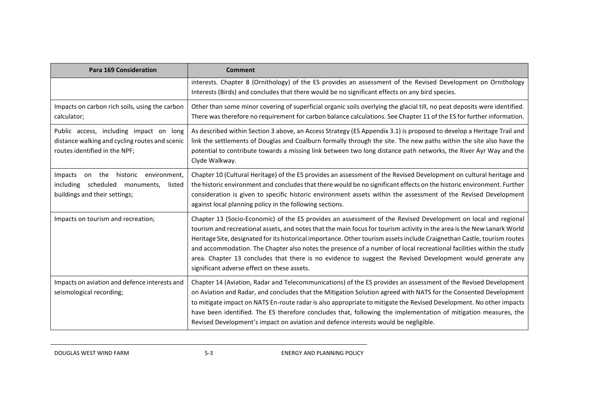| <b>Para 169 Consideration</b>                                                                                                    | <b>Comment</b>                                                                                                                                                                                                                                                                                                                                                                                                                                                                                                                                                                                                                                            |
|----------------------------------------------------------------------------------------------------------------------------------|-----------------------------------------------------------------------------------------------------------------------------------------------------------------------------------------------------------------------------------------------------------------------------------------------------------------------------------------------------------------------------------------------------------------------------------------------------------------------------------------------------------------------------------------------------------------------------------------------------------------------------------------------------------|
|                                                                                                                                  | interests. Chapter 8 (Ornithology) of the ES provides an assessment of the Revised Development on Ornithology<br>Interests (Birds) and concludes that there would be no significant effects on any bird species.                                                                                                                                                                                                                                                                                                                                                                                                                                          |
| Impacts on carbon rich soils, using the carbon<br>calculator;                                                                    | Other than some minor covering of superficial organic soils overlying the glacial till, no peat deposits were identified.<br>There was therefore no requirement for carbon balance calculations. See Chapter 11 of the ES for further information.                                                                                                                                                                                                                                                                                                                                                                                                        |
| Public access, including impact on long<br>distance walking and cycling routes and scenic<br>routes identified in the NPF;       | As described within Section 3 above, an Access Strategy (ES Appendix 3.1) is proposed to develop a Heritage Trail and<br>link the settlements of Douglas and Coalburn formally through the site. The new paths within the site also have the<br>potential to contribute towards a missing link between two long distance path networks, the River Ayr Way and the<br>Clyde Walkway.                                                                                                                                                                                                                                                                       |
| on the<br>historic<br>environment,<br>Impacts<br>scheduled<br>including<br>monuments,<br>listed<br>buildings and their settings; | Chapter 10 (Cultural Heritage) of the ES provides an assessment of the Revised Development on cultural heritage and<br>the historic environment and concludes that there would be no significant effects on the historic environment. Further<br>consideration is given to specific historic environment assets within the assessment of the Revised Development<br>against local planning policy in the following sections.                                                                                                                                                                                                                              |
| Impacts on tourism and recreation;                                                                                               | Chapter 13 (Socio-Economic) of the ES provides an assessment of the Revised Development on local and regional<br>tourism and recreational assets, and notes that the main focus for tourism activity in the area is the New Lanark World<br>Heritage Site, designated for its historical importance. Other tourism assets include Craignethan Castle, tourism routes<br>and accommodation. The Chapter also notes the presence of a number of local recreational facilities within the study<br>area. Chapter 13 concludes that there is no evidence to suggest the Revised Development would generate any<br>significant adverse effect on these assets. |
| Impacts on aviation and defence interests and<br>seismological recording;                                                        | Chapter 14 (Aviation, Radar and Telecommunications) of the ES provides an assessment of the Revised Development<br>on Aviation and Radar, and concludes that the Mitigation Solution agreed with NATS for the Consented Development<br>to mitigate impact on NATS En-route radar is also appropriate to mitigate the Revised Development. No other impacts<br>have been identified. The ES therefore concludes that, following the implementation of mitigation measures, the<br>Revised Development's impact on aviation and defence interests would be negligible.                                                                                      |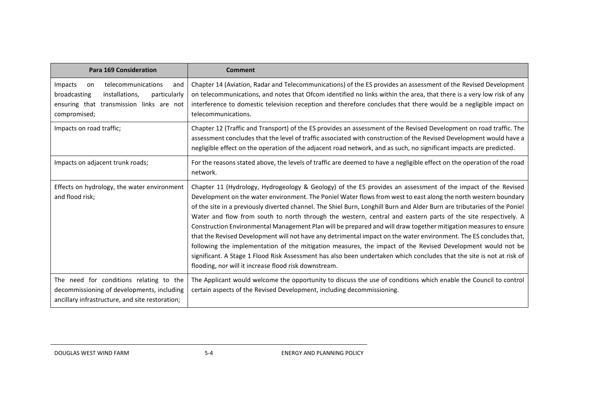| <b>Para 169 Consideration</b>                                                                                                                            | <b>Comment</b>                                                                                                                                                                                                                                                                                                                                                                                                                                                                                                                                                                                                                                                                                                                                                                                                                                                                                                                                                                                                          |  |
|----------------------------------------------------------------------------------------------------------------------------------------------------------|-------------------------------------------------------------------------------------------------------------------------------------------------------------------------------------------------------------------------------------------------------------------------------------------------------------------------------------------------------------------------------------------------------------------------------------------------------------------------------------------------------------------------------------------------------------------------------------------------------------------------------------------------------------------------------------------------------------------------------------------------------------------------------------------------------------------------------------------------------------------------------------------------------------------------------------------------------------------------------------------------------------------------|--|
| Impacts<br>telecommunications<br>on<br>and<br>particularly<br>broadcasting<br>installations,<br>ensuring that transmission links are not<br>compromised; | Chapter 14 (Aviation, Radar and Telecommunications) of the ES provides an assessment of the Revised Development<br>on telecommunications, and notes that Ofcom identified no links within the area, that there is a very low risk of any<br>interference to domestic television reception and therefore concludes that there would be a negligible impact on<br>telecommunications.                                                                                                                                                                                                                                                                                                                                                                                                                                                                                                                                                                                                                                     |  |
| Impacts on road traffic;                                                                                                                                 | Chapter 12 (Traffic and Transport) of the ES provides an assessment of the Revised Development on road traffic. The<br>assessment concludes that the level of traffic associated with construction of the Revised Development would have a<br>negligible effect on the operation of the adjacent road network, and as such, no significant impacts are predicted.                                                                                                                                                                                                                                                                                                                                                                                                                                                                                                                                                                                                                                                       |  |
| Impacts on adjacent trunk roads;                                                                                                                         | For the reasons stated above, the levels of traffic are deemed to have a negligible effect on the operation of the road<br>network.                                                                                                                                                                                                                                                                                                                                                                                                                                                                                                                                                                                                                                                                                                                                                                                                                                                                                     |  |
| Effects on hydrology, the water environment<br>and flood risk;                                                                                           | Chapter 11 (Hydrology, Hydrogeology & Geology) of the ES provides an assessment of the impact of the Revised<br>Development on the water environment. The Poniel Water flows from west to east along the north western boundary<br>of the site in a previously diverted channel. The Shiel Burn, Longhill Burn and Alder Burn are tributaries of the Poniel<br>Water and flow from south to north through the western, central and eastern parts of the site respectively. A<br>Construction Environmental Management Plan will be prepared and will draw together mitigation measures to ensure<br>that the Revised Development will not have any detrimental impact on the water environment. The ES concludes that,<br>following the implementation of the mitigation measures, the impact of the Revised Development would not be<br>significant. A Stage 1 Flood Risk Assessment has also been undertaken which concludes that the site is not at risk of<br>flooding, nor will it increase flood risk downstream. |  |
| The need for conditions relating to the<br>decommissioning of developments, including<br>ancillary infrastructure, and site restoration;                 | The Applicant would welcome the opportunity to discuss the use of conditions which enable the Council to control<br>certain aspects of the Revised Development, including decommissioning.                                                                                                                                                                                                                                                                                                                                                                                                                                                                                                                                                                                                                                                                                                                                                                                                                              |  |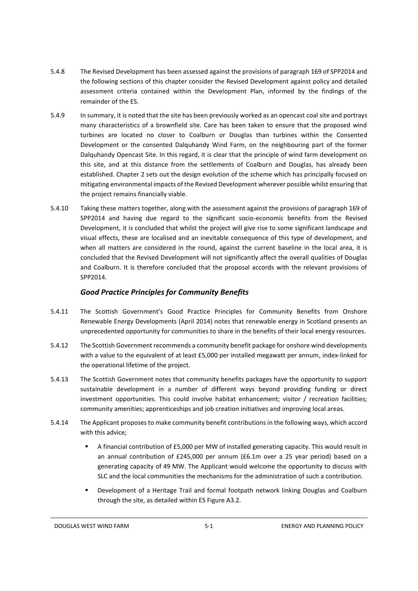- 5.4.8 The Revised Development has been assessed against the provisions of paragraph 169 of SPP2014 and the following sections of this chapter consider the Revised Development against policy and detailed assessment criteria contained within the Development Plan, informed by the findings of the remainder of the ES.
- 5.4.9 In summary, it is noted that the site has been previously worked as an opencast coal site and portrays many characteristics of a brownfield site. Care has been taken to ensure that the proposed wind turbines are located no closer to Coalburn or Douglas than turbines within the Consented Development or the consented Dalquhandy Wind Farm, on the neighbouring part of the former Dalquhandy Opencast Site. In this regard, it is clear that the principle of wind farm development on this site, and at this distance from the settlements of Coalburn and Douglas, has already been established. Chapter 2 sets out the design evolution of the scheme which has principally focused on mitigating environmental impacts of the Revised Development wherever possible whilst ensuring that the project remains financially viable.
- 5.4.10 Taking these matters together, along with the assessment against the provisions of paragraph 169 of SPP2014 and having due regard to the significant socio-economic benefits from the Revised Development, it is concluded that whilst the project will give rise to some significant landscape and visual effects, these are localised and an inevitable consequence of this type of development, and when all matters are considered in the round, against the current baseline in the local area, it is concluded that the Revised Development will not significantly affect the overall qualities of Douglas and Coalburn. It is therefore concluded that the proposal accords with the relevant provisions of SPP2014.

#### *Good Practice Principles for Community Benefits*

- 5.4.11 The Scottish Government's Good Practice Principles for Community Benefits from Onshore Renewable Energy Developments (April 2014) notes that renewable energy in Scotland presents an unprecedented opportunity for communities to share in the benefits of their local energy resources.
- 5.4.12 The Scottish Government recommends a community benefit package for onshore wind developments with a value to the equivalent of at least £5,000 per installed megawatt per annum, index-linked for the operational lifetime of the project.
- 5.4.13 The Scottish Government notes that community benefits packages have the opportunity to support sustainable development in a number of different ways beyond providing funding or direct investment opportunities. This could involve habitat enhancement; visitor / recreation facilities; community amenities; apprenticeships and job creation initiatives and improving local areas.
- 5.4.14 The Applicant proposes to make community benefit contributions in the following ways, which accord with this advice;
	- A financial contribution of £5,000 per MW of installed generating capacity. This would result in an annual contribution of £245,000 per annum (£6.1m over a 25 year period) based on a generating capacity of 49 MW. The Applicant would welcome the opportunity to discuss with SLC and the local communities the mechanisms for the administration of such a contribution.
	- Development of a Heritage Trail and formal footpath network linking Douglas and Coalburn through the site, as detailed within ES Figure A3.2.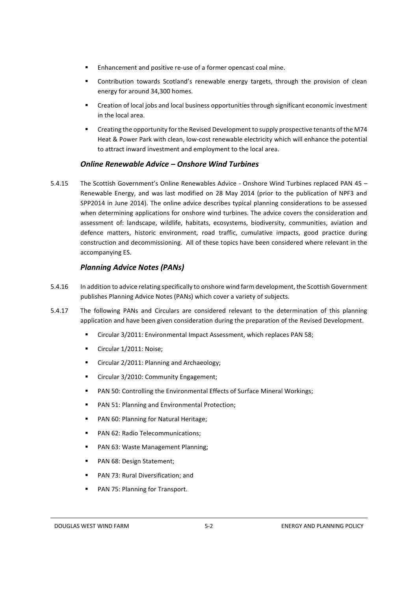- Enhancement and positive re-use of a former opencast coal mine.
- Contribution towards Scotland's renewable energy targets, through the provision of clean energy for around 34,300 homes.
- Creation of local jobs and local business opportunities through significant economic investment in the local area.
- Creating the opportunity for the Revised Development to supply prospective tenants of the M74 Heat & Power Park with clean, low-cost renewable electricity which will enhance the potential to attract inward investment and employment to the local area.

#### *Online Renewable Advice – Onshore Wind Turbines*

5.4.15 The Scottish Government's Online Renewables Advice - Onshore Wind Turbines replaced PAN 45 – Renewable Energy, and was last modified on 28 May 2014 (prior to the publication of NPF3 and SPP2014 in June 2014). The online advice describes typical planning considerations to be assessed when determining applications for onshore wind turbines. The advice covers the consideration and assessment of: landscape, wildlife, habitats, ecosystems, biodiversity, communities, aviation and defence matters, historic environment, road traffic, cumulative impacts, good practice during construction and decommissioning. All of these topics have been considered where relevant in the accompanying ES.

#### *Planning Advice Notes (PANs)*

- 5.4.16 In addition to advice relating specifically to onshore wind farm development, the Scottish Government publishes Planning Advice Notes (PANs) which cover a variety of subjects.
- 5.4.17 The following PANs and Circulars are considered relevant to the determination of this planning application and have been given consideration during the preparation of the Revised Development.
	- Circular 3/2011: Environmental Impact Assessment, which replaces PAN 58;
	- Circular 1/2011: Noise;
	- **EXED:** Circular 2/2011: Planning and Archaeology;
	- **EXEC** Circular 3/2010: Community Engagement;
	- PAN 50: Controlling the Environmental Effects of Surface Mineral Workings;
	- **PAN 51: Planning and Environmental Protection;**
	- **PAN 60: Planning for Natural Heritage;**
	- **PAN 62: Radio Telecommunications;**
	- **PAN 63: Waste Management Planning;**
	- PAN 68: Design Statement;
	- **PAN 73: Rural Diversification; and**
	- PAN 75: Planning for Transport.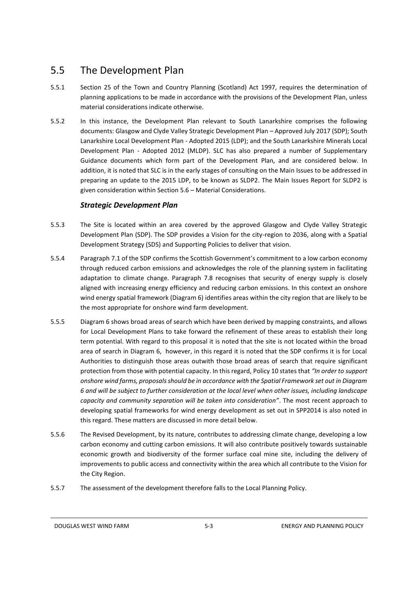# <span id="page-16-0"></span>5.5 The Development Plan

- 5.5.1 Section 25 of the Town and Country Planning (Scotland) Act 1997, requires the determination of planning applications to be made in accordance with the provisions of the Development Plan, unless material considerations indicate otherwise.
- 5.5.2 In this instance, the Development Plan relevant to South Lanarkshire comprises the following documents: Glasgow and Clyde Valley Strategic Development Plan – Approved July 2017 (SDP); South Lanarkshire Local Development Plan - Adopted 2015 (LDP); and the South Lanarkshire Minerals Local Development Plan - Adopted 2012 (MLDP). SLC has also prepared a number of Supplementary Guidance documents which form part of the Development Plan, and are considered below. In addition, it is noted that SLC is in the early stages of consulting on the Main Issues to be addressed in preparing an update to the 2015 LDP, to be known as SLDP2. The Main Issues Report for SLDP2 is given consideration within Section 5.6 – Material Considerations.

#### *Strategic Development Plan*

- 5.5.3 The Site is located within an area covered by the approved Glasgow and Clyde Valley Strategic Development Plan (SDP). The SDP provides a Vision for the city-region to 2036, along with a Spatial Development Strategy (SDS) and Supporting Policies to deliver that vision.
- 5.5.4 Paragraph 7.1 of the SDP confirms the Scottish Government's commitment to a low carbon economy through reduced carbon emissions and acknowledges the role of the planning system in facilitating adaptation to climate change. Paragraph 7.8 recognises that security of energy supply is closely aligned with increasing energy efficiency and reducing carbon emissions. In this context an onshore wind energy spatial framework (Diagram 6) identifies areas within the city region that are likely to be the most appropriate for onshore wind farm development.
- 5.5.5 Diagram 6 shows broad areas of search which have been derived by mapping constraints, and allows for Local Development Plans to take forward the refinement of these areas to establish their long term potential. With regard to this proposal it is noted that the site is not located within the broad area of search in Diagram 6, however, in this regard it is noted that the SDP confirms it is for Local Authorities to distinguish those areas outwith those broad areas of search that require significant protection from those with potential capacity. In this regard, Policy 10 states that *"In order to support onshore wind farms, proposals should be in accordance with the Spatial Framework set out in Diagram 6 and will be subject to further consideration at the local level when other issues, including landscape capacity and community separation will be taken into consideration"*. The most recent approach to developing spatial frameworks for wind energy development as set out in SPP2014 is also noted in this regard. These matters are discussed in more detail below.
- 5.5.6 The Revised Development, by its nature, contributes to addressing climate change, developing a low carbon economy and cutting carbon emissions. It will also contribute positively towards sustainable economic growth and biodiversity of the former surface coal mine site, including the delivery of improvements to public access and connectivity within the area which all contribute to the Vision for the City Region.
- 5.5.7 The assessment of the development therefore falls to the Local Planning Policy.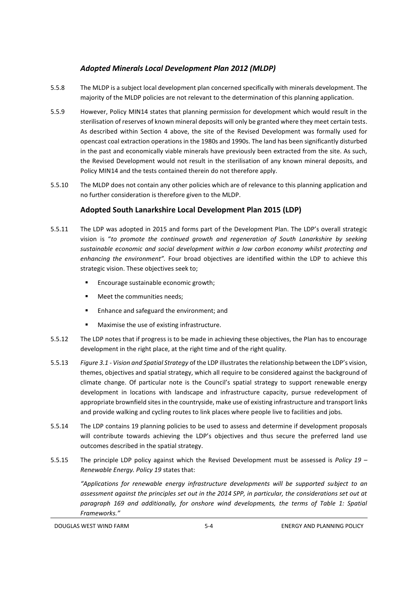#### *Adopted Minerals Local Development Plan 2012 (MLDP)*

- 5.5.8 The MLDP is a subject local development plan concerned specifically with minerals development. The majority of the MLDP policies are not relevant to the determination of this planning application.
- 5.5.9 However, Policy MIN14 states that planning permission for development which would result in the sterilisation of reserves of known mineral deposits will only be granted where they meet certain tests. As described within Section 4 above, the site of the Revised Development was formally used for opencast coal extraction operations in the 1980s and 1990s. The land has been significantly disturbed in the past and economically viable minerals have previously been extracted from the site. As such, the Revised Development would not result in the sterilisation of any known mineral deposits, and Policy MIN14 and the tests contained therein do not therefore apply.
- 5.5.10 The MLDP does not contain any other policies which are of relevance to this planning application and no further consideration is therefore given to the MLDP.

#### **Adopted South Lanarkshire Local Development Plan 2015 (LDP)**

- 5.5.11 The LDP was adopted in 2015 and forms part of the Development Plan. The LDP's overall strategic vision is "*to promote the continued growth and regeneration of South Lanarkshire by seeking sustainable economic and social development within a low carbon economy whilst protecting and enhancing the environment".* Four broad objectives are identified within the LDP to achieve this strategic vision. These objectives seek to;
	- **Encourage sustainable economic growth:**
	- **•** Meet the communities needs;
	- **Enhance and safeguard the environment; and**
	- Maximise the use of existing infrastructure.
- 5.5.12 The LDP notes that if progress is to be made in achieving these objectives, the Plan has to encourage development in the right place, at the right time and of the right quality.
- 5.5.13 *Figure 3.1 - Vision and Spatial Strategy* of the LDP illustrates the relationship between the LDP's vision, themes, objectives and spatial strategy, which all require to be considered against the background of climate change. Of particular note is the Council's spatial strategy to support renewable energy development in locations with landscape and infrastructure capacity, pursue redevelopment of appropriate brownfield sites in the countryside, make use of existing infrastructure and transport links and provide walking and cycling routes to link places where people live to facilities and jobs.
- 5.5.14 The LDP contains 19 planning policies to be used to assess and determine if development proposals will contribute towards achieving the LDP's objectives and thus secure the preferred land use outcomes described in the spatial strategy.
- 5.5.15 The principle LDP policy against which the Revised Development must be assessed is *Policy 19 – Renewable Energy. Policy 19* states that:

*"Applications for renewable energy infrastructure developments will be supported subject to an assessment against the principles set out in the 2014 SPP, in particular, the considerations set out at paragraph 169 and additionally, for onshore wind developments, the terms of Table 1: Spatial Frameworks."*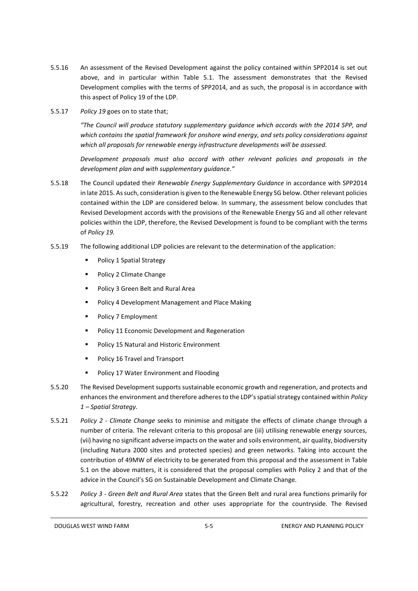- 5.5.16 An assessment of the Revised Development against the policy contained within SPP2014 is set out above, and in particular within Table 5.1. The assessment demonstrates that the Revised Development complies with the terms of SPP2014, and as such, the proposal is in accordance with this aspect of Policy 19 of the LDP.
- 5.5.17 *Policy 19* goes on to state that;

*"The Council will produce statutory supplementary guidance which accords with the 2014 SPP, and which contains the spatial framework for onshore wind energy, and sets policy considerations against which all proposals for renewable energy infrastructure developments will be assessed.*

*Development proposals must also accord with other relevant policies and proposals in the development plan and with supplementary guidance."*

- 5.5.18 The Council updated their *Renewable Energy Supplementary Guidance* in accordance with SPP2014 in late 2015. As such, consideration is given to the Renewable Energy SG below. Other relevant policies contained within the LDP are considered below. In summary, the assessment below concludes that Revised Development accords with the provisions of the Renewable Energy SG and all other relevant policies within the LDP, therefore, the Revised Development is found to be compliant with the terms of *Policy 19.*
- 5.5.19 The following additional LDP policies are relevant to the determination of the application:
	- Policy 1 Spatial Strategy
	- Policy 2 Climate Change
	- **Policy 3 Green Belt and Rural Area**
	- **Policy 4 Development Management and Place Making**
	- **Policy 7 Employment**
	- **Policy 11 Economic Development and Regeneration**
	- **Policy 15 Natural and Historic Environment**
	- Policy 16 Travel and Transport
	- **Policy 17 Water Environment and Flooding**
- 5.5.20 The Revised Development supports sustainable economic growth and regeneration, and protects and enhances the environment and therefore adheres to the LDP's spatial strategy contained within *Policy 1 – Spatial Strategy.*
- 5.5.21 *Policy 2 - Climate Change* seeks to minimise and mitigate the effects of climate change through a number of criteria. The relevant criteria to this proposal are (iii) utilising renewable energy sources, (vii) having no significant adverse impacts on the water and soils environment, air quality, biodiversity (including Natura 2000 sites and protected species) and green networks. Taking into account the contribution of 49MW of electricity to be generated from this proposal and the assessment in Table 5.1 on the above matters, it is considered that the proposal complies with Policy 2 and that of the advice in the Council's SG on Sustainable Development and Climate Change.
- 5.5.22 *Policy 3 - Green Belt and Rural Area* states that the Green Belt and rural area functions primarily for agricultural, forestry, recreation and other uses appropriate for the countryside. The Revised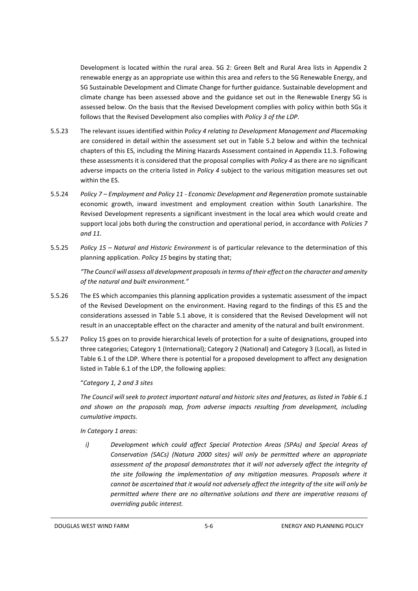Development is located within the rural area. SG 2: Green Belt and Rural Area lists in Appendix 2 renewable energy as an appropriate use within this area and refers to the SG Renewable Energy, and SG Sustainable Development and Climate Change for further guidance. Sustainable development and climate change has been assessed above and the guidance set out in the Renewable Energy SG is assessed below. On the basis that the Revised Development complies with policy within both SGs it follows that the Revised Development also complies with *Policy 3 of the LDP*.

- 5.5.23 The relevant issues identified within P*olicy 4 relating to Development Management and Placemaking*  are considered in detail within the assessment set out in Table 5.2 below and within the technical chapters of this ES, including the Mining Hazards Assessment contained in Appendix 11.3. Following these assessments it is considered that the proposal complies with *Policy 4* as there are no significant adverse impacts on the criteria listed in *Policy 4* subject to the various mitigation measures set out within the ES.
- 5.5.24 *Policy 7 – Employment and Policy 11 - Economic Development and Regeneration* promote sustainable economic growth, inward investment and employment creation within South Lanarkshire. The Revised Development represents a significant investment in the local area which would create and support local jobs both during the construction and operational period, in accordance with *Policies 7 and 11.*
- 5.5.25 *Policy 15 – Natural and Historic Environment* is of particular relevance to the determination of this planning application. *Policy 15* begins by stating that;

*"The Council will assess all development proposalsin terms of their effect on the character and amenity of the natural and built environment."*

- 5.5.26 The ES which accompanies this planning application provides a systematic assessment of the impact of the Revised Development on the environment. Having regard to the findings of this ES and the considerations assessed in Table 5.1 above, it is considered that the Revised Development will not result in an unacceptable effect on the character and amenity of the natural and built environment.
- 5.5.27 Policy 15 goes on to provide hierarchical levels of protection for a suite of designations, grouped into three categories; Category 1 (International); Category 2 (National) and Category 3 (Local), as listed in Table 6.1 of the LDP. Where there is potential for a proposed development to affect any designation listed in Table 6.1 of the LDP, the following applies:

"*Category 1, 2 and 3 sites*

*The Council will seek to protect important natural and historic sites and features, as listed in Table 6.1 and shown on the proposals map, from adverse impacts resulting from development, including cumulative impacts.*

*In Category 1 areas:*

*i) Development which could affect Special Protection Areas (SPAs) and Special Areas of Conservation (SACs) (Natura 2000 sites) will only be permitted where an appropriate assessment of the proposal demonstrates that it will not adversely affect the integrity of the site following the implementation of any mitigation measures. Proposals where it cannot be ascertained that it would not adversely affect the integrity of the site will only be permitted where there are no alternative solutions and there are imperative reasons of overriding public interest.*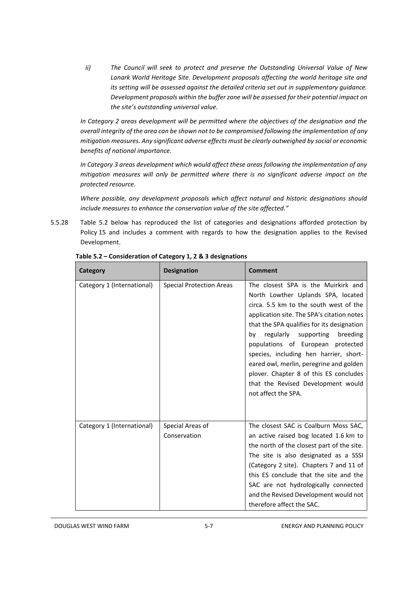*ii) The Council will seek to protect and preserve the Outstanding Universal Value of New Lanark World Heritage Site. Development proposals affecting the world heritage site and its setting will be assessed against the detailed criteria set out in supplementary guidance. Development proposals within the buffer zone will be assessed for their potential impact on the site's outstanding universal value.* 

*In Category 2 areas development will be permitted where the objectives of the designation and the overall integrity of the area can be shown not to be compromised following the implementation of any mitigation measures. Any significant adverse effects must be clearly outweighed by social or economic benefits of national importance.*

*In Category 3 areas development which would affect these areas following the implementation of any mitigation measures will only be permitted where there is no significant adverse impact on the protected resource.*

*Where possible, any development proposals which affect natural and historic designations should include measures to enhance the conservation value of the site affected."*

5.5.28 Table 5.2 below has reproduced the list of categories and designations afforded protection by Policy 15 and includes a comment with regards to how the designation applies to the Revised Development.

| <b>Category</b>            | <b>Designation</b>               | <b>Comment</b>                                                                                                                                                                                                                                                                                                                                                                                                                                                                          |
|----------------------------|----------------------------------|-----------------------------------------------------------------------------------------------------------------------------------------------------------------------------------------------------------------------------------------------------------------------------------------------------------------------------------------------------------------------------------------------------------------------------------------------------------------------------------------|
| Category 1 (International) | <b>Special Protection Areas</b>  | The closest SPA is the Muirkirk and<br>North Lowther Uplands SPA, located<br>circa. 5.5 km to the south west of the<br>application site. The SPA's citation notes<br>that the SPA qualifies for its designation<br>by regularly supporting<br>breeding<br>populations of European protected<br>species, including hen harrier, short-<br>eared owl, merlin, peregrine and golden<br>plover. Chapter 8 of this ES concludes<br>that the Revised Development would<br>not affect the SPA. |
| Category 1 (International) | Special Areas of<br>Conservation | The closest SAC is Coalburn Moss SAC,<br>an active raised bog located 1.6 km to<br>the north of the closest part of the site.<br>The site is also designated as a SSSI<br>(Category 2 site). Chapters 7 and 11 of<br>this ES conclude that the site and the<br>SAC are not hydrologically connected<br>and the Revised Development would not<br>therefore affect the SAC.                                                                                                               |

**Table 5.2 – Consideration of Category 1, 2 & 3 designations**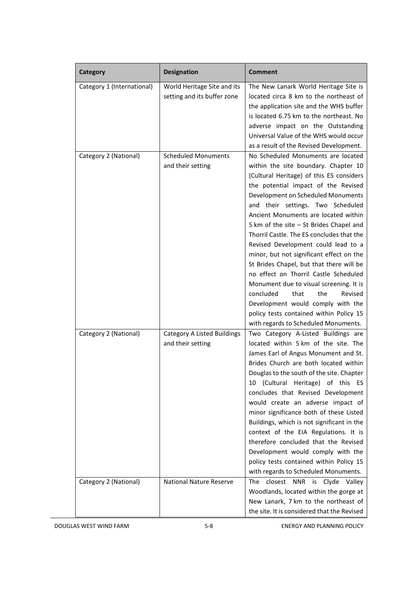| Category                   | <b>Designation</b>             | <b>Comment</b>                                        |
|----------------------------|--------------------------------|-------------------------------------------------------|
| Category 1 (International) | World Heritage Site and its    | The New Lanark World Heritage Site is                 |
|                            | setting and its buffer zone    | located circa 8 km to the northeast of                |
|                            |                                | the application site and the WHS buffer               |
|                            |                                | is located 6.75 km to the northeast. No               |
|                            |                                | adverse impact on the Outstanding                     |
|                            |                                | Universal Value of the WHS would occur                |
|                            |                                | as a result of the Revised Development.               |
| Category 2 (National)      | <b>Scheduled Monuments</b>     | No Scheduled Monuments are located                    |
|                            | and their setting              | within the site boundary. Chapter 10                  |
|                            |                                | (Cultural Heritage) of this ES considers              |
|                            |                                | the potential impact of the Revised                   |
|                            |                                | Development on Scheduled Monuments                    |
|                            |                                | and their settings. Two Scheduled                     |
|                            |                                | Ancient Monuments are located within                  |
|                            |                                | 5 km of the site - St Brides Chapel and               |
|                            |                                | Thorril Castle. The ES concludes that the             |
|                            |                                | Revised Development could lead to a                   |
|                            |                                | minor, but not significant effect on the              |
|                            |                                | St Brides Chapel, but that there will be              |
|                            |                                | no effect on Thorril Castle Scheduled                 |
|                            |                                | Monument due to visual screening. It is               |
|                            |                                | concluded<br>that<br>the<br>Revised                   |
|                            |                                | Development would comply with the                     |
|                            |                                | policy tests contained within Policy 15               |
|                            |                                | with regards to Scheduled Monuments.                  |
| Category 2 (National)      | Category A Listed Buildings    | Two Category A-Listed Buildings are                   |
|                            | and their setting              | located within 5 km of the site. The                  |
|                            |                                | James Earl of Angus Monument and St.                  |
|                            |                                | Brides Church are both located within                 |
|                            |                                | Douglas to the south of the site. Chapter             |
|                            |                                | (Cultural Heritage)<br>of this<br>10<br>ES            |
|                            |                                | concludes that Revised Development                    |
|                            |                                | would create an adverse impact of                     |
|                            |                                | minor significance both of these Listed               |
|                            |                                | Buildings, which is not significant in the            |
|                            |                                | context of the EIA Regulations. It is                 |
|                            |                                | therefore concluded that the Revised                  |
|                            |                                | Development would comply with the                     |
|                            |                                | policy tests contained within Policy 15               |
|                            |                                | with regards to Scheduled Monuments.                  |
| Category 2 (National)      | <b>National Nature Reserve</b> | The<br>closest<br><b>NNR</b><br>Clyde<br>is<br>Valley |
|                            |                                | Woodlands, located within the gorge at                |
|                            |                                | New Lanark, 7 km to the northeast of                  |
|                            |                                | the site. It is considered that the Revised           |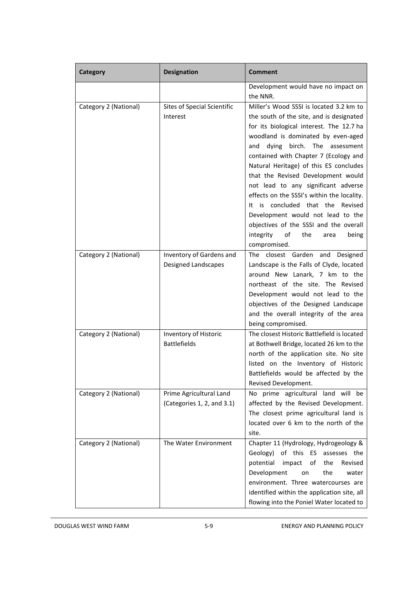| <b>Category</b>       | <b>Designation</b>                                     | <b>Comment</b>                                                                                                                                                                                                                                                                                                                                                                                                                                                                                                                                                                                             |
|-----------------------|--------------------------------------------------------|------------------------------------------------------------------------------------------------------------------------------------------------------------------------------------------------------------------------------------------------------------------------------------------------------------------------------------------------------------------------------------------------------------------------------------------------------------------------------------------------------------------------------------------------------------------------------------------------------------|
|                       |                                                        | Development would have no impact on<br>the NNR.                                                                                                                                                                                                                                                                                                                                                                                                                                                                                                                                                            |
| Category 2 (National) | Sites of Special Scientific<br>Interest                | Miller's Wood SSSI is located 3.2 km to<br>the south of the site, and is designated<br>for its biological interest. The 12.7 ha<br>woodland is dominated by even-aged<br>dying<br>birch. The assessment<br>and<br>contained with Chapter 7 (Ecology and<br>Natural Heritage) of this ES concludes<br>that the Revised Development would<br>not lead to any significant adverse<br>effects on the SSSI's within the locality.<br>It is concluded that the Revised<br>Development would not lead to the<br>objectives of the SSSI and the overall<br>of<br>integrity<br>the<br>being<br>area<br>compromised. |
| Category 2 (National) | Inventory of Gardens and<br><b>Designed Landscapes</b> | The closest Garden<br>and Designed<br>Landscape is the Falls of Clyde, located<br>around New Lanark, 7 km to the<br>northeast of the site. The Revised<br>Development would not lead to the<br>objectives of the Designed Landscape<br>and the overall integrity of the area<br>being compromised.                                                                                                                                                                                                                                                                                                         |
| Category 2 (National) | Inventory of Historic<br><b>Battlefields</b>           | The closest Historic Battlefield is located<br>at Bothwell Bridge, located 26 km to the<br>north of the application site. No site<br>listed on the Inventory of Historic<br>Battlefields would be affected by the<br>Revised Development.                                                                                                                                                                                                                                                                                                                                                                  |
| Category 2 (National) | Prime Agricultural Land<br>(Categories 1, 2, and 3.1)  | No prime agricultural land will be<br>affected by the Revised Development.<br>The closest prime agricultural land is<br>located over 6 km to the north of the<br>site.                                                                                                                                                                                                                                                                                                                                                                                                                                     |
| Category 2 (National) | The Water Environment                                  | Chapter 11 (Hydrology, Hydrogeology &<br>Geology)<br>of this ES assesses the<br>potential<br>impact<br>of<br>the<br>Revised<br>Development<br>the<br>water<br>on<br>environment. Three watercourses are<br>identified within the application site, all<br>flowing into the Poniel Water located to                                                                                                                                                                                                                                                                                                         |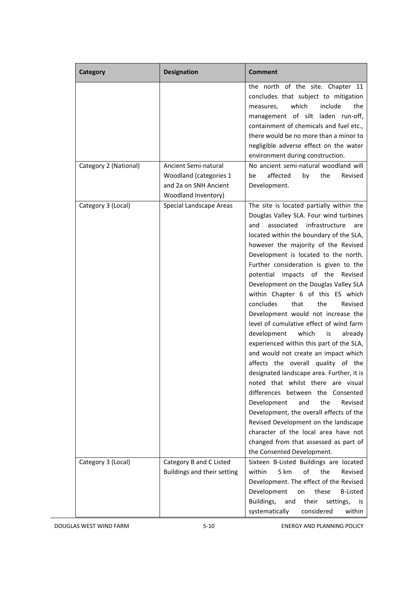| <b>Category</b>       | <b>Designation</b>                                                                             | <b>Comment</b>                                                                                                                                                                                                                                                                                                                                                                                                                                                                                                                                                                                                                                                                                                                                                                                                                                                                                                                                                                                                                                                                           |
|-----------------------|------------------------------------------------------------------------------------------------|------------------------------------------------------------------------------------------------------------------------------------------------------------------------------------------------------------------------------------------------------------------------------------------------------------------------------------------------------------------------------------------------------------------------------------------------------------------------------------------------------------------------------------------------------------------------------------------------------------------------------------------------------------------------------------------------------------------------------------------------------------------------------------------------------------------------------------------------------------------------------------------------------------------------------------------------------------------------------------------------------------------------------------------------------------------------------------------|
|                       |                                                                                                | the north of the site. Chapter 11<br>concludes that subject to mitigation<br>which<br>include<br>the<br>measures,<br>management of silt laden run-off,<br>containment of chemicals and fuel etc.,<br>there would be no more than a minor to<br>negligible adverse effect on the water<br>environment during construction.                                                                                                                                                                                                                                                                                                                                                                                                                                                                                                                                                                                                                                                                                                                                                                |
| Category 2 (National) | Ancient Semi-natural<br>Woodland (categories 1<br>and 2a on SNH Ancient<br>Woodland Inventory) | No ancient semi-natural woodland will<br>affected<br>the<br>Revised<br>be<br>by<br>Development.                                                                                                                                                                                                                                                                                                                                                                                                                                                                                                                                                                                                                                                                                                                                                                                                                                                                                                                                                                                          |
| Category 3 (Local)    | Special Landscape Areas                                                                        | The site is located partially within the<br>Douglas Valley SLA. Four wind turbines<br>associated<br>infrastructure<br>and<br>are<br>located within the boundary of the SLA,<br>however the majority of the Revised<br>Development is located to the north.<br>Further consideration is given to the<br>impacts of the<br>potential<br>Revised<br>Development on the Douglas Valley SLA<br>within Chapter 6 of this ES which<br>concludes<br>that<br>the<br>Revised<br>Development would not increase the<br>level of cumulative effect of wind farm<br>development<br>which<br>already<br>is<br>experienced within this part of the SLA,<br>and would not create an impact which<br>affects the overall quality of the<br>designated landscape area. Further, it is<br>noted that whilst there are visual<br>differences between the Consented<br>Development<br>the<br>Revised<br>and<br>Development, the overall effects of the<br>Revised Development on the landscape<br>character of the local area have not<br>changed from that assessed as part of<br>the Consented Development. |
| Category 3 (Local)    | Category B and C Listed<br>Buildings and their setting                                         | Sixteen B-Listed Buildings are located<br>5 km<br>οf<br>the<br>within<br>Revised<br>Development. The effect of the Revised<br>Development<br>these<br><b>B-Listed</b><br>on<br>Buildings,<br>and<br>their<br>settings,<br>İS<br>considered<br>systematically<br>within                                                                                                                                                                                                                                                                                                                                                                                                                                                                                                                                                                                                                                                                                                                                                                                                                   |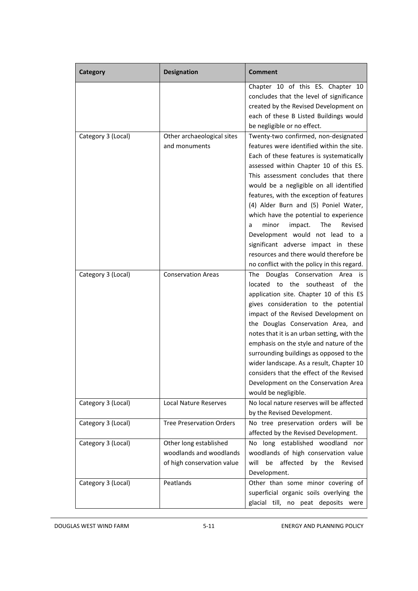| <b>Category</b>    | <b>Designation</b>                                                              | Comment                                                                                                                                                                                                                                                                                                                                                                                                                                                                                                                                                                                |
|--------------------|---------------------------------------------------------------------------------|----------------------------------------------------------------------------------------------------------------------------------------------------------------------------------------------------------------------------------------------------------------------------------------------------------------------------------------------------------------------------------------------------------------------------------------------------------------------------------------------------------------------------------------------------------------------------------------|
|                    |                                                                                 | Chapter 10 of this ES. Chapter 10<br>concludes that the level of significance<br>created by the Revised Development on<br>each of these B Listed Buildings would                                                                                                                                                                                                                                                                                                                                                                                                                       |
|                    |                                                                                 | be negligible or no effect.                                                                                                                                                                                                                                                                                                                                                                                                                                                                                                                                                            |
| Category 3 (Local) | Other archaeological sites<br>and monuments                                     | Twenty-two confirmed, non-designated<br>features were identified within the site.<br>Each of these features is systematically<br>assessed within Chapter 10 of this ES.<br>This assessment concludes that there<br>would be a negligible on all identified<br>features, with the exception of features<br>(4) Alder Burn and (5) Poniel Water,<br>which have the potential to experience<br>minor<br>The<br>Revised<br>impact.<br>a<br>Development would not lead to a<br>significant adverse impact in these<br>resources and there would therefore be                                |
| Category 3 (Local) | <b>Conservation Areas</b>                                                       | no conflict with the policy in this regard.<br>Douglas Conservation<br>The<br>Area is<br>located to the southeast of the<br>application site. Chapter 10 of this ES<br>gives consideration to the potential<br>impact of the Revised Development on<br>the Douglas Conservation Area, and<br>notes that it is an urban setting, with the<br>emphasis on the style and nature of the<br>surrounding buildings as opposed to the<br>wider landscape. As a result, Chapter 10<br>considers that the effect of the Revised<br>Development on the Conservation Area<br>would be negligible. |
| Category 3 (Local) | <b>Local Nature Reserves</b>                                                    | No local nature reserves will be affected<br>by the Revised Development.                                                                                                                                                                                                                                                                                                                                                                                                                                                                                                               |
| Category 3 (Local) | <b>Tree Preservation Orders</b>                                                 | No tree preservation orders will be<br>affected by the Revised Development.                                                                                                                                                                                                                                                                                                                                                                                                                                                                                                            |
| Category 3 (Local) | Other long established<br>woodlands and woodlands<br>of high conservation value | No long established woodland nor<br>woodlands of high conservation value<br>will<br>affected<br>by the<br>be<br>Revised<br>Development.                                                                                                                                                                                                                                                                                                                                                                                                                                                |
| Category 3 (Local) | Peatlands                                                                       | Other than some minor covering of<br>superficial organic soils overlying the<br>glacial till, no peat deposits were                                                                                                                                                                                                                                                                                                                                                                                                                                                                    |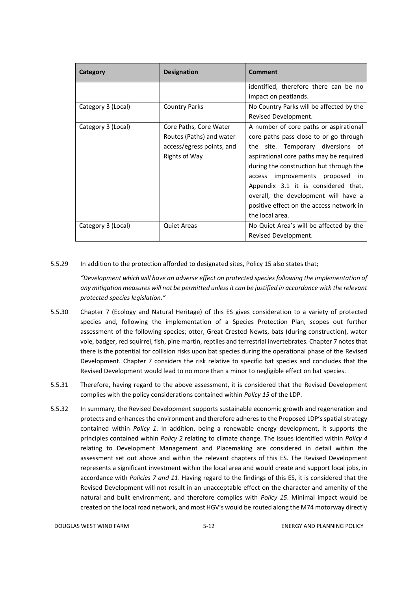| Category           | <b>Designation</b>        | Comment                                  |
|--------------------|---------------------------|------------------------------------------|
|                    |                           | identified, therefore there can be no    |
|                    |                           | impact on peatlands.                     |
| Category 3 (Local) | <b>Country Parks</b>      | No Country Parks will be affected by the |
|                    |                           | Revised Development.                     |
| Category 3 (Local) | Core Paths, Core Water    | A number of core paths or aspirational   |
|                    | Routes (Paths) and water  | core paths pass close to or go through   |
|                    | access/egress points, and | the site. Temporary diversions of        |
|                    | Rights of Way             | aspirational core paths may be required  |
|                    |                           | during the construction but through the  |
|                    |                           | access improvements proposed<br>- in     |
|                    |                           | Appendix 3.1 it is considered that,      |
|                    |                           | overall, the development will have a     |
|                    |                           | positive effect on the access network in |
|                    |                           | the local area.                          |
| Category 3 (Local) | <b>Quiet Areas</b>        | No Quiet Area's will be affected by the  |
|                    |                           | Revised Development.                     |

#### 5.5.29 In addition to the protection afforded to designated sites, Policy 15 also states that;

*"Development which will have an adverse effect on protected species following the implementation of any mitigation measures will not be permitted unless it can be justified in accordance with the relevant protected species legislation."*

- 5.5.30 Chapter 7 (Ecology and Natural Heritage) of this ES gives consideration to a variety of protected species and, following the implementation of a Species Protection Plan, scopes out further assessment of the following species; otter, Great Crested Newts, bats (during construction), water vole, badger, red squirrel, fish, pine martin, reptiles and terrestrial invertebrates. Chapter 7 notes that there is the potential for collision risks upon bat species during the operational phase of the Revised Development. Chapter 7 considers the risk relative to specific bat species and concludes that the Revised Development would lead to no more than a minor to negligible effect on bat species.
- 5.5.31 Therefore, having regard to the above assessment, it is considered that the Revised Development complies with the policy considerations contained within *Policy 15* of the LDP.
- 5.5.32 In summary, the Revised Development supports sustainable economic growth and regeneration and protects and enhances the environment and therefore adheres to the Proposed LDP's spatial strategy contained within *Policy 1*. In addition, being a renewable energy development, it supports the principles contained within *Policy 2* relating to climate change. The issues identified within *Policy 4* relating to Development Management and Placemaking are considered in detail within the assessment set out above and within the relevant chapters of this ES. The Revised Development represents a significant investment within the local area and would create and support local jobs, in accordance with *Policies 7 and 11*. Having regard to the findings of this ES, it is considered that the Revised Development will not result in an unacceptable effect on the character and amenity of the natural and built environment, and therefore complies with *Policy 15*. Minimal impact would be created on the local road network, and most HGV's would be routed along the M74 motorway directly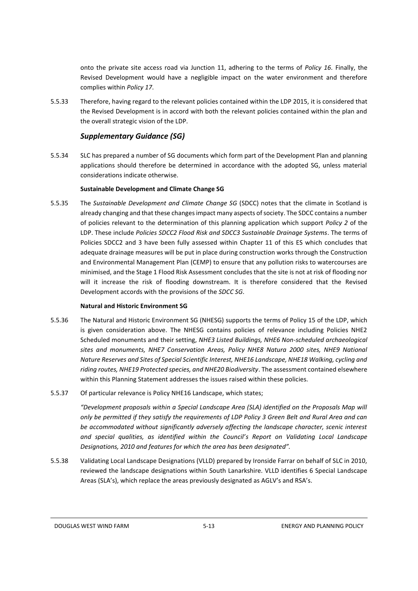onto the private site access road via Junction 11, adhering to the terms of *Policy 16*. Finally, the Revised Development would have a negligible impact on the water environment and therefore complies within *Policy 17*.

5.5.33 Therefore, having regard to the relevant policies contained within the LDP 2015, it is considered that the Revised Development is in accord with both the relevant policies contained within the plan and the overall strategic vision of the LDP.

#### *Supplementary Guidance (SG)*

5.5.34 SLC has prepared a number of SG documents which form part of the Development Plan and planning applications should therefore be determined in accordance with the adopted SG, unless material considerations indicate otherwise.

#### **Sustainable Development and Climate Change SG**

5.5.35 The *Sustainable Development and Climate Change SG* (SDCC) notes that the climate in Scotland is already changing and that these changes impact many aspects of society. The SDCC contains a number of policies relevant to the determination of this planning application which support *Policy 2* of the LDP. These include *Policies SDCC2 Flood Risk and SDCC3 Sustainable Drainage Systems*. The terms of Policies SDCC2 and 3 have been fully assessed within Chapter 11 of this ES which concludes that adequate drainage measures will be put in place during construction works through the Construction and Environmental Management Plan (CEMP) to ensure that any pollution risks to watercourses are minimised, and the Stage 1 Flood Risk Assessment concludes that the site is not at risk of flooding nor will it increase the risk of flooding downstream. It is therefore considered that the Revised Development accords with the provisions of the *SDCC SG*.

#### **Natural and Historic Environment SG**

- 5.5.36 The Natural and Historic Environment SG (NHESG) supports the terms of Policy 15 of the LDP, which is given consideration above. The NHESG contains policies of relevance including Policies NHE2 Scheduled monuments and their setting, *NHE3 Listed Buildings, NHE6 Non-scheduled archaeological sites and monuments, NHE7 Conservation Areas, Policy NHE8 Natura 2000 sites, NHE9 National Nature Reserves and Sites of Special Scientific Interest, NHE16 Landscape, NHE18 Walking, cycling and riding routes, NHE19 Protected species, and NHE20 Biodiversity*. The assessment contained elsewhere within this Planning Statement addresses the issues raised within these policies.
- 5.5.37 Of particular relevance is Policy NHE16 Landscape, which states;

*"Development proposals within a Special Landscape Area (SLA) identified on the Proposals Map will only be permitted if they satisfy the requirements of LDP Policy 3 Green Belt and Rural Area and can be accommodated without significantly adversely affecting the landscape character, scenic interest and special qualities, as identified within the Council's Report on Validating Local Landscape Designations, 2010 and features for which the area has been designated".*

5.5.38 Validating Local Landscape Designations (VLLD) prepared by Ironside Farrar on behalf of SLC in 2010, reviewed the landscape designations within South Lanarkshire. VLLD identifies 6 Special Landscape Areas (SLA's), which replace the areas previously designated as AGLV's and RSA's.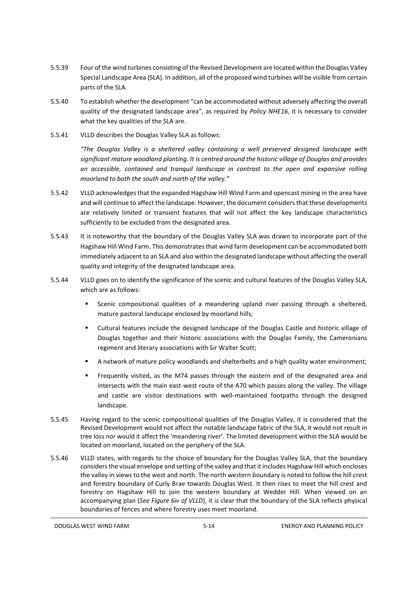- 5.5.39 Four of the wind turbines consisting of the Revised Development are located within the Douglas Valley Special Landscape Area (SLA). In addition, all of the proposed wind turbines will be visible from certain parts of the SLA.
- 5.5.40 To establish whether the development "can be accommodated without adversely affecting the overall quality of the designated landscape area", as required by *Policy NHE16*, it is necessary to consider what the key qualities of the SLA are.
- 5.5.41 VLLD describes the Douglas Valley SLA as follows:

*"The Douglas Valley is a sheltered valley containing a well preserved designed landscape with significant mature woodland planting. It is centred around the historic village of Douglas and provides an accessible, contained and tranquil landscape in contrast to the open and expansive rolling moorland to both the south and north of the valley."*

- 5.5.42 VLLD acknowledges that the expanded Hagshaw Hill Wind Farm and opencast mining in the area have and will continue to affect the landscape. However, the document considers that these developments are relatively limited or transient features that will not affect the key landscape characteristics sufficiently to be excluded from the designated area.
- 5.5.43 It is noteworthy that the boundary of the Douglas Valley SLA was drawn to incorporate part of the Hagshaw Hill Wind Farm. This demonstrates that wind farm development can be accommodated both immediately adjacent to an SLA and also within the designated landscape without affecting the overall quality and integrity of the designated landscape area.
- 5.5.44 VLLD goes on to identify the significance of the scenic and cultural features of the Douglas Valley SLA, which are as follows:
	- Scenic compositional qualities of a meandering upland river passing through a sheltered, mature pastoral landscape enclosed by moorland hills;
	- Cultural features include the designed landscape of the Douglas Castle and historic village of Douglas together and their historic associations with the Douglas Family, the Cameronians regiment and literary associations with Sir Walter Scott;
	- A network of mature policy woodlands and shelterbelts and a high quality water environment;
	- Frequently visited, as the M74 passes through the eastern end of the designated area and intersects with the main east-west route of the A70 which passes along the valley. The village and castle are visitor destinations with well-maintained footpaths through the designed landscape.
- 5.5.45 Having regard to the scenic compositional qualities of the Douglas Valley, it is considered that the Revised Development would not affect the notable landscape fabric of the SLA, it would not result in tree loss nor would it affect the 'meandering river'. The limited development within the SLA would be located on moorland, located on the periphery of the SLA.
- 5.5.46 VLLD states, with regards to the choice of boundary for the Douglas Valley SLA, that the boundary considers the visual envelope and setting of the valley and that it includes Hagshaw Hill which encloses the valley in views to the west and north. The north western boundary is noted to follow the hill crest and forestry boundary of Curly Brae towards Douglas West. It then rises to meet the hill crest and forestry on Hagshaw Hill to join the western boundary at Wedder Hill. When viewed on an accompanying plan (*See Figure 6iv of VLLD*), it is clear that the boundary of the SLA reflects physical boundaries of fences and where forestry uses meet moorland.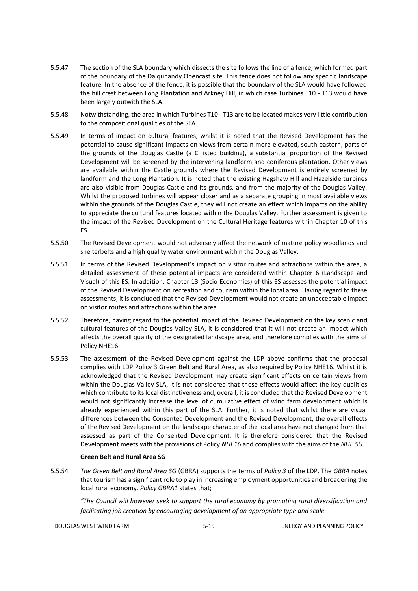- 5.5.47 The section of the SLA boundary which dissects the site follows the line of a fence, which formed part of the boundary of the Dalquhandy Opencast site. This fence does not follow any specific landscape feature. In the absence of the fence, it is possible that the boundary of the SLA would have followed the hill crest between Long Plantation and Arkney Hill, in which case Turbines T10 - T13 would have been largely outwith the SLA.
- 5.5.48 Notwithstanding, the area in which Turbines T10 T13 are to be located makes very little contribution to the compositional qualities of the SLA.
- 5.5.49 In terms of impact on cultural features, whilst it is noted that the Revised Development has the potential to cause significant impacts on views from certain more elevated, south eastern, parts of the grounds of the Douglas Castle (a C listed building), a substantial proportion of the Revised Development will be screened by the intervening landform and coniferous plantation. Other views are available within the Castle grounds where the Revised Development is entirely screened by landform and the Long Plantation. It is noted that the existing Hagshaw Hill and Hazelside turbines are also visible from Douglas Castle and its grounds, and from the majority of the Douglas Valley. Whilst the proposed turbines will appear closer and as a separate grouping in most available views within the grounds of the Douglas Castle, they will not create an effect which impacts on the ability to appreciate the cultural features located within the Douglas Valley. Further assessment is given to the impact of the Revised Development on the Cultural Heritage features within Chapter 10 of this ES.
- 5.5.50 The Revised Development would not adversely affect the network of mature policy woodlands and shelterbelts and a high quality water environment within the Douglas Valley.
- 5.5.51 In terms of the Revised Development's impact on visitor routes and attractions within the area, a detailed assessment of these potential impacts are considered within Chapter 6 (Landscape and Visual) of this ES. In addition, Chapter 13 (Socio-Economics) of this ES assesses the potential impact of the Revised Development on recreation and tourism within the local area. Having regard to these assessments, it is concluded that the Revised Development would not create an unacceptable impact on visitor routes and attractions within the area.
- 5.5.52 Therefore, having regard to the potential impact of the Revised Development on the key scenic and cultural features of the Douglas Valley SLA, it is considered that it will not create an impact which affects the overall quality of the designated landscape area, and therefore complies with the aims of Policy NHE16.
- 5.5.53 The assessment of the Revised Development against the LDP above confirms that the proposal complies with LDP Policy 3 Green Belt and Rural Area, as also required by Policy NHE16. Whilst it is acknowledged that the Revised Development may create significant effects on certain views from within the Douglas Valley SLA, it is not considered that these effects would affect the key qualities which contribute to its local distinctiveness and, overall, it is concluded that the Revised Development would not significantly increase the level of cumulative effect of wind farm development which is already experienced within this part of the SLA. Further, it is noted that whilst there are visual differences between the Consented Development and the Revised Development, the overall effects of the Revised Development on the landscape character of the local area have not changed from that assessed as part of the Consented Development. It is therefore considered that the Revised Development meets with the provisions of Policy *NHE16* and complies with the aims of the *NHE SG*.

#### **Green Belt and Rural Area SG**

5.5.54 *The Green Belt and Rural Area SG* (GBRA) supports the terms of *Policy 3* of the LDP. The *GBRA* notes that tourism has a significant role to play in increasing employment opportunities and broadening the local rural economy. *Policy GBRA1* states that;

*"The Council will however seek to support the rural economy by promoting rural diversification and facilitating job creation by encouraging development of an appropriate type and scale.*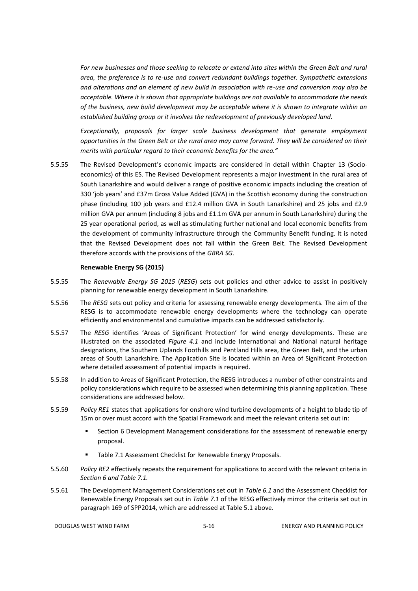*For new businesses and those seeking to relocate or extend into sites within the Green Belt and rural area, the preference is to re-use and convert redundant buildings together. Sympathetic extensions and alterations and an element of new build in association with re-use and conversion may also be acceptable. Where it is shown that appropriate buildings are not available to accommodate the needs of the business, new build development may be acceptable where it is shown to integrate within an established building group or it involves the redevelopment of previously developed land.*

*Exceptionally, proposals for larger scale business development that generate employment opportunities in the Green Belt or the rural area may come forward. They will be considered on their merits with particular regard to their economic benefits for the area."*

5.5.55 The Revised Development's economic impacts are considered in detail within Chapter 13 (Socioeconomics) of this ES. The Revised Development represents a major investment in the rural area of South Lanarkshire and would deliver a range of positive economic impacts including the creation of 330 'job years' and £37m Gross Value Added (GVA) in the Scottish economy during the construction phase (including 100 job years and £12.4 million GVA in South Lanarkshire) and 25 jobs and £2.9 million GVA per annum (including 8 jobs and £1.1m GVA per annum in South Lanarkshire) during the 25 year operational period, as well as stimulating further national and local economic benefits from the development of community infrastructure through the Community Benefit funding. It is noted that the Revised Development does not fall within the Green Belt. The Revised Development therefore accords with the provisions of the *GBRA SG*.

#### **Renewable Energy SG (2015)**

- 5.5.55 The *Renewable Energy SG 2015* (*RESG*) sets out policies and other advice to assist in positively planning for renewable energy development in South Lanarkshire.
- 5.5.56 The *RESG* sets out policy and criteria for assessing renewable energy developments. The aim of the RESG is to accommodate renewable energy developments where the technology can operate efficiently and environmental and cumulative impacts can be addressed satisfactorily.
- 5.5.57 The *RESG* identifies 'Areas of Significant Protection' for wind energy developments. These are illustrated on the associated *Figure 4.1* and include International and National natural heritage designations, the Southern Uplands Foothills and Pentland Hills area, the Green Belt, and the urban areas of South Lanarkshire. The Application Site is located within an Area of Significant Protection where detailed assessment of potential impacts is required.
- 5.5.58 In addition to Areas of Significant Protection, the RESG introduces a number of other constraints and policy considerations which require to be assessed when determining this planning application. These considerations are addressed below.
- 5.5.59 *Policy RE1* states that applications for onshore wind turbine developments of a height to blade tip of 15m or over must accord with the Spatial Framework and meet the relevant criteria set out in:
	- **Section 6 Development Management considerations for the assessment of renewable energy** proposal.
	- Table 7.1 Assessment Checklist for Renewable Energy Proposals.
- 5.5.60 *Policy RE2* effectively repeats the requirement for applications to accord with the relevant criteria in *Section 6 and Table 7.1.*
- 5.5.61 The Development Management Considerations set out in *Table 6.1* and the Assessment Checklist for Renewable Energy Proposals set out in *Table 7.1* of the RESG effectively mirror the criteria set out in paragraph 169 of SPP2014, which are addressed at Table 5.1 above.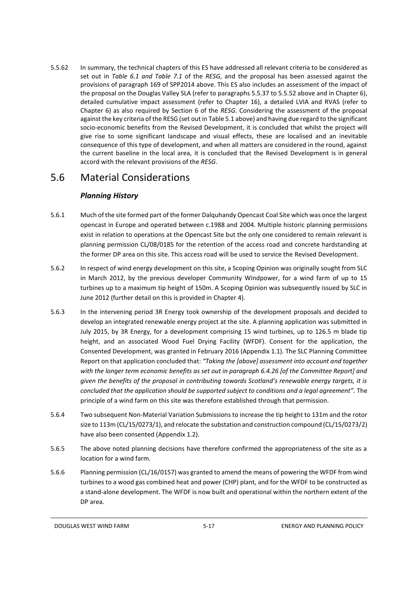5.5.62 In summary, the technical chapters of this ES have addressed all relevant criteria to be considered as set out in *Table 6.1 and Table 7.1* of the *RESG*, and the proposal has been assessed against the provisions of paragraph 169 of SPP2014 above. This ES also includes an assessment of the impact of the proposal on the Douglas Valley SLA (refer to paragraphs 5.5.37 to 5.5.52 above and in Chapter 6), detailed cumulative impact assessment (refer to Chapter 16), a detailed LVIA and RVAS (refer to Chapter 6) as also required by Section 6 of the *RESG*. Considering the assessment of the proposal against the key criteria of the RESG (set out in Table 5.1 above) and having due regard to the significant socio-economic benefits from the Revised Development, it is concluded that whilst the project will give rise to some significant landscape and visual effects, these are localised and an inevitable consequence of this type of development, and when all matters are considered in the round, against the current baseline in the local area, it is concluded that the Revised Development is in general accord with the relevant provisions of the *RESG*.

# <span id="page-30-0"></span>5.6 Material Considerations

#### *Planning History*

- 5.6.1 Much of the site formed part of the former Dalquhandy Opencast Coal Site which was once the largest opencast in Europe and operated between c.1988 and 2004. Multiple historic planning permissions exist in relation to operations at the Opencast Site but the only one considered to remain relevant is planning permission CL/08/0185 for the retention of the access road and concrete hardstanding at the former DP area on this site. This access road will be used to service the Revised Development.
- 5.6.2 In respect of wind energy development on this site, a Scoping Opinion was originally sought from SLC in March 2012, by the previous developer Community Windpower, for a wind farm of up to 15 turbines up to a maximum tip height of 150m. A Scoping Opinion was subsequently issued by SLC in June 2012 (further detail on this is provided in Chapter 4).
- 5.6.3 In the intervening period 3R Energy took ownership of the development proposals and decided to develop an integrated renewable energy project at the site. A planning application was submitted in July 2015, by 3R Energy, for a development comprising 15 wind turbines, up to 126.5 m blade tip height, and an associated Wood Fuel Drying Facility (WFDF). Consent for the application, the Consented Development, was granted in February 2016 (Appendix 1.1). The SLC Planning Committee Report on that application concluded that: *"Taking the [above] assessment into account and together with the longer term economic benefits as set out in paragraph 6.4.26 [of the Committee Report] and given the benefits of the proposal in contributing towards Scotland's renewable energy targets, it is concluded that the application should be supported subject to conditions and a legal agreement".* The principle of a wind farm on this site was therefore established through that permission.
- 5.6.4 Two subsequent Non-Material Variation Submissions to increase the tip height to 131m and the rotor size to 113m (CL/15/0273/1), and relocate the substation and construction compound (CL/15/0273/2) have also been consented (Appendix 1.2).
- 5.6.5 The above noted planning decisions have therefore confirmed the appropriateness of the site as a location for a wind farm.
- 5.6.6 Planning permission (CL/16/0157) was granted to amend the means of powering the WFDF from wind turbines to a wood gas combined heat and power (CHP) plant, and for the WFDF to be constructed as a stand-alone development. The WFDF is now built and operational within the northern extent of the DP area.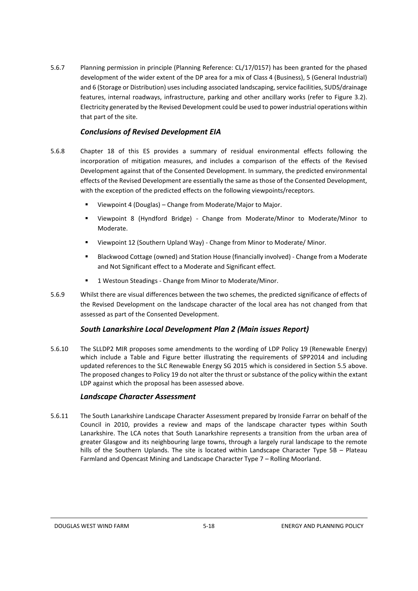5.6.7 Planning permission in principle (Planning Reference: CL/17/0157) has been granted for the phased development of the wider extent of the DP area for a mix of Class 4 (Business), 5 (General Industrial) and 6 (Storage or Distribution) uses including associated landscaping, service facilities, SUDS/drainage features, internal roadways, infrastructure, parking and other ancillary works (refer to Figure 3.2). Electricity generated by the Revised Development could be used to power industrial operations within that part of the site.

#### *Conclusions of Revised Development EIA*

- 5.6.8 Chapter 18 of this ES provides a summary of residual environmental effects following the incorporation of mitigation measures, and includes a comparison of the effects of the Revised Development against that of the Consented Development. In summary, the predicted environmental effects of the Revised Development are essentially the same as those of the Consented Development, with the exception of the predicted effects on the following viewpoints/receptors.
	- Viewpoint 4 (Douglas) Change from Moderate/Major to Major.
	- Viewpoint 8 (Hyndford Bridge) Change from Moderate/Minor to Moderate/Minor to Moderate.
	- Viewpoint 12 (Southern Upland Way) Change from Minor to Moderate/ Minor.
	- Blackwood Cottage (owned) and Station House (financially involved) Change from a Moderate and Not Significant effect to a Moderate and Significant effect.
	- **1 Westoun Steadings Change from Minor to Moderate/Minor.**
- 5.6.9 Whilst there are visual differences between the two schemes, the predicted significance of effects of the Revised Development on the landscape character of the local area has not changed from that assessed as part of the Consented Development.

#### *South Lanarkshire Local Development Plan 2 (Main issues Report)*

5.6.10 The SLLDP2 MIR proposes some amendments to the wording of LDP Policy 19 (Renewable Energy) which include a Table and Figure better illustrating the requirements of SPP2014 and including updated references to the SLC Renewable Energy SG 2015 which is considered in Section 5.5 above. The proposed changes to Policy 19 do not alter the thrust or substance of the policy within the extant LDP against which the proposal has been assessed above.

#### *Landscape Character Assessment*

5.6.11 The South Lanarkshire Landscape Character Assessment prepared by Ironside Farrar on behalf of the Council in 2010, provides a review and maps of the landscape character types within South Lanarkshire. The LCA notes that South Lanarkshire represents a transition from the urban area of greater Glasgow and its neighbouring large towns, through a largely rural landscape to the remote hills of the Southern Uplands. The site is located within Landscape Character Type 5B - Plateau Farmland and Opencast Mining and Landscape Character Type 7 – Rolling Moorland.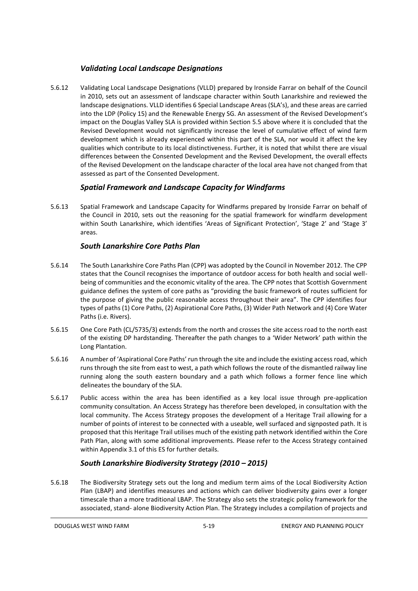#### *Validating Local Landscape Designations*

5.6.12 Validating Local Landscape Designations (VLLD) prepared by Ironside Farrar on behalf of the Council in 2010, sets out an assessment of landscape character within South Lanarkshire and reviewed the landscape designations. VLLD identifies 6 Special Landscape Areas (SLA's), and these areas are carried into the LDP (Policy 15) and the Renewable Energy SG. An assessment of the Revised Development's impact on the Douglas Valley SLA is provided within Section 5.5 above where it is concluded that the Revised Development would not significantly increase the level of cumulative effect of wind farm development which is already experienced within this part of the SLA, nor would it affect the key qualities which contribute to its local distinctiveness. Further, it is noted that whilst there are visual differences between the Consented Development and the Revised Development, the overall effects of the Revised Development on the landscape character of the local area have not changed from that assessed as part of the Consented Development.

#### *Spatial Framework and Landscape Capacity for Windfarms*

5.6.13 Spatial Framework and Landscape Capacity for Windfarms prepared by Ironside Farrar on behalf of the Council in 2010, sets out the reasoning for the spatial framework for windfarm development within South Lanarkshire, which identifies 'Areas of Significant Protection', 'Stage 2' and 'Stage 3' areas.

#### *South Lanarkshire Core Paths Plan*

- 5.6.14 The South Lanarkshire Core Paths Plan (CPP) was adopted by the Council in November 2012. The CPP states that the Council recognises the importance of outdoor access for both health and social wellbeing of communities and the economic vitality of the area. The CPP notes that Scottish Government guidance defines the system of core paths as "providing the basic framework of routes sufficient for the purpose of giving the public reasonable access throughout their area". The CPP identifies four types of paths (1) Core Paths, (2) Aspirational Core Paths, (3) Wider Path Network and (4) Core Water Paths (i.e. Rivers).
- 5.6.15 One Core Path (CL/5735/3) extends from the north and crosses the site access road to the north east of the existing DP hardstanding. Thereafter the path changes to a 'Wider Network' path within the Long Plantation.
- 5.6.16 A number of 'Aspirational Core Paths' run through the site and include the existing access road, which runs through the site from east to west, a path which follows the route of the dismantled railway line running along the south eastern boundary and a path which follows a former fence line which delineates the boundary of the SLA.
- 5.6.17 Public access within the area has been identified as a key local issue through pre-application community consultation. An Access Strategy has therefore been developed, in consultation with the local community. The Access Strategy proposes the development of a Heritage Trail allowing for a number of points of interest to be connected with a useable, well surfaced and signposted path. It is proposed that this Heritage Trail utilises much of the existing path network identified within the Core Path Plan, along with some additional improvements. Please refer to the Access Strategy contained within Appendix 3.1 of this ES for further details.

### *South Lanarkshire Biodiversity Strategy (2010 – 2015)*

5.6.18 The Biodiversity Strategy sets out the long and medium term aims of the Local Biodiversity Action Plan (LBAP) and identifies measures and actions which can deliver biodiversity gains over a longer timescale than a more traditional LBAP. The Strategy also sets the strategic policy framework for the associated, stand- alone Biodiversity Action Plan. The Strategy includes a compilation of projects and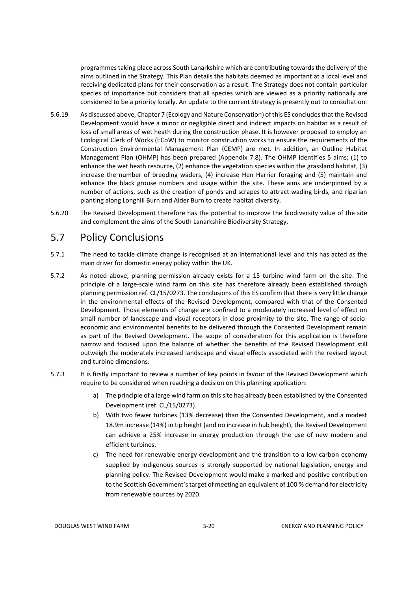programmes taking place across South Lanarkshire which are contributing towards the delivery of the aims outlined in the Strategy. This Plan details the habitats deemed as important at a local level and receiving dedicated plans for their conservation as a result. The Strategy does not contain particular species of importance but considers that all species which are viewed as a priority nationally are considered to be a priority locally. An update to the current Strategy is presently out to consultation.

- 5.6.19 As discussed above, Chapter 7 (Ecology and Nature Conservation) of this ES concludes that the Revised Development would have a minor or negligible direct and indirect impacts on habitat as a result of loss of small areas of wet heath during the construction phase. It is however proposed to employ an Ecological Clerk of Works (ECoW) to monitor construction works to ensure the requirements of the Construction Environmental Management Plan (CEMP) are met. In addition, an Outline Habitat Management Plan (OHMP) has been prepared (Appendix 7.8). The OHMP identifies 5 aims; (1) to enhance the wet heath resource, (2) enhance the vegetation species within the grassland habitat, (3) increase the number of breeding waders, (4) increase Hen Harrier foraging and (5) maintain and enhance the black grouse numbers and usage within the site. These aims are underpinned by a number of actions, such as the creation of ponds and scrapes to attract wading birds, and riparian planting along Longhill Burn and Alder Burn to create habitat diversity.
- 5.6.20 The Revised Development therefore has the potential to improve the biodiversity value of the site and complement the aims of the South Lanarkshire Biodiversity Strategy.

# <span id="page-33-0"></span>5.7 Policy Conclusions

- 5.7.1 The need to tackle climate change is recognised at an international level and this has acted as the main driver for domestic energy policy within the UK.
- 5.7.2 As noted above, planning permission already exists for a 15 turbine wind farm on the site. The principle of a large-scale wind farm on this site has therefore already been established through planning permission ref. CL/15/0273. The conclusions of this ES confirm that there is very little change in the environmental effects of the Revised Development, compared with that of the Consented Development. Those elements of change are confined to a moderately increased level of effect on small number of landscape and visual receptors in close proximity to the site. The range of socioeconomic and environmental benefits to be delivered through the Consented Development remain as part of the Revised Development. The scope of consideration for this application is therefore narrow and focused upon the balance of whether the benefits of the Revised Development still outweigh the moderately increased landscape and visual effects associated with the revised layout and turbine dimensions.
- 5.7.3 It is firstly important to review a number of key points in favour of the Revised Development which require to be considered when reaching a decision on this planning application:
	- a) The principle of a large wind farm on this site has already been established by the Consented Development (ref. CL/15/0273).
	- b) With two fewer turbines (13% decrease) than the Consented Development, and a modest 18.9m increase (14%) in tip height (and no increase in hub height), the Revised Development can achieve a 25% increase in energy production through the use of new modern and efficient turbines.
	- c) The need for renewable energy development and the transition to a low carbon economy supplied by indigenous sources is strongly supported by national legislation, energy and planning policy. The Revised Development would make a marked and positive contribution to the Scottish Government's target of meeting an equivalent of 100 % demand for electricity from renewable sources by 2020.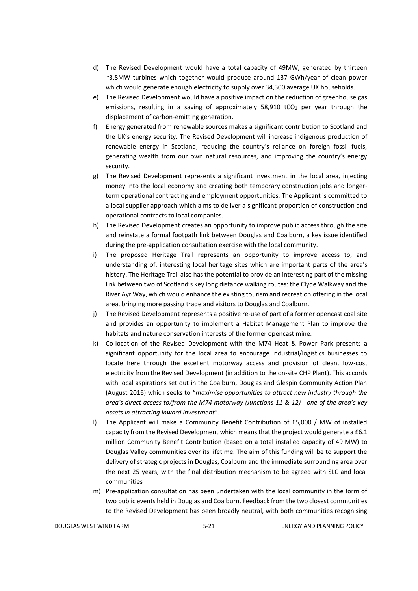- d) The Revised Development would have a total capacity of 49MW, generated by thirteen ~3.8MW turbines which together would produce around 137 GWh/year of clean power which would generate enough electricity to supply over 34,300 average UK households.
- e) The Revised Development would have a positive impact on the reduction of greenhouse gas emissions, resulting in a saving of approximately  $58,910$  tCO<sub>2</sub> per year through the displacement of carbon-emitting generation.
- f) Energy generated from renewable sources makes a significant contribution to Scotland and the UK's energy security. The Revised Development will increase indigenous production of renewable energy in Scotland, reducing the country's reliance on foreign fossil fuels, generating wealth from our own natural resources, and improving the country's energy security.
- g) The Revised Development represents a significant investment in the local area, injecting money into the local economy and creating both temporary construction jobs and longerterm operational contracting and employment opportunities. The Applicant is committed to a local supplier approach which aims to deliver a significant proportion of construction and operational contracts to local companies.
- h) The Revised Development creates an opportunity to improve public access through the site and reinstate a formal footpath link between Douglas and Coalburn, a key issue identified during the pre-application consultation exercise with the local community.
- i) The proposed Heritage Trail represents an opportunity to improve access to, and understanding of, interesting local heritage sites which are important parts of the area's history. The Heritage Trail also has the potential to provide an interesting part of the missing link between two of Scotland's key long distance walking routes: the Clyde Walkway and the River Ayr Way, which would enhance the existing tourism and recreation offering in the local area, bringing more passing trade and visitors to Douglas and Coalburn.
- j) The Revised Development represents a positive re-use of part of a former opencast coal site and provides an opportunity to implement a Habitat Management Plan to improve the habitats and nature conservation interests of the former opencast mine.
- k) Co-location of the Revised Development with the M74 Heat & Power Park presents a significant opportunity for the local area to encourage industrial/logistics businesses to locate here through the excellent motorway access and provision of clean, low-cost electricity from the Revised Development (in addition to the on-site CHP Plant). This accords with local aspirations set out in the Coalburn, Douglas and Glespin Community Action Plan (August 2016) which seeks to "*maximise opportunities to attract new industry through the area's direct access to/from the M74 motorway (Junctions 11 & 12) - one of the area's key assets in attracting inward investment*".
- l) The Applicant will make a Community Benefit Contribution of £5,000 / MW of installed capacity from the Revised Development which means that the project would generate a £6.1 million Community Benefit Contribution (based on a total installed capacity of 49 MW) to Douglas Valley communities over its lifetime. The aim of this funding will be to support the delivery of strategic projects in Douglas, Coalburn and the immediate surrounding area over the next 25 years, with the final distribution mechanism to be agreed with SLC and local communities
- m) Pre-application consultation has been undertaken with the local community in the form of two public events held in Douglas and Coalburn. Feedback from the two closest communities to the Revised Development has been broadly neutral, with both communities recognising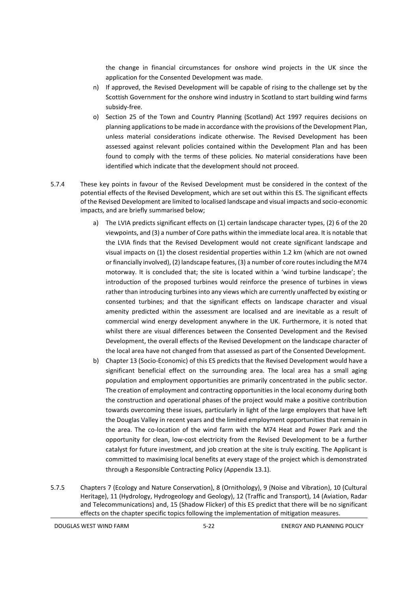the change in financial circumstances for onshore wind projects in the UK since the application for the Consented Development was made.

- n) If approved, the Revised Development will be capable of rising to the challenge set by the Scottish Government for the onshore wind industry in Scotland to start building wind farms subsidy-free.
- o) Section 25 of the Town and Country Planning (Scotland) Act 1997 requires decisions on planning applications to be made in accordance with the provisions of the Development Plan, unless material considerations indicate otherwise. The Revised Development has been assessed against relevant policies contained within the Development Plan and has been found to comply with the terms of these policies. No material considerations have been identified which indicate that the development should not proceed.
- 5.7.4 These key points in favour of the Revised Development must be considered in the context of the potential effects of the Revised Development, which are set out within this ES. The significant effects of the Revised Development are limited to localised landscape and visual impacts and socio-economic impacts, and are briefly summarised below;
	- a) The LVIA predicts significant effects on (1) certain landscape character types, (2) 6 of the 20 viewpoints, and (3) a number of Core paths within the immediate local area. It is notable that the LVIA finds that the Revised Development would not create significant landscape and visual impacts on (1) the closest residential properties within 1.2 km (which are not owned or financially involved), (2) landscape features, (3) a number of core routes including the M74 motorway. It is concluded that; the site is located within a 'wind turbine landscape'; the introduction of the proposed turbines would reinforce the presence of turbines in views rather than introducing turbines into any views which are currently unaffected by existing or consented turbines; and that the significant effects on landscape character and visual amenity predicted within the assessment are localised and are inevitable as a result of commercial wind energy development anywhere in the UK. Furthermore, it is noted that whilst there are visual differences between the Consented Development and the Revised Development, the overall effects of the Revised Development on the landscape character of the local area have not changed from that assessed as part of the Consented Development.
	- b) Chapter 13 (Socio-Economic) of this ES predicts that the Revised Development would have a significant beneficial effect on the surrounding area. The local area has a small aging population and employment opportunities are primarily concentrated in the public sector. The creation of employment and contracting opportunities in the local economy during both the construction and operational phases of the project would make a positive contribution towards overcoming these issues, particularly in light of the large employers that have left the Douglas Valley in recent years and the limited employment opportunities that remain in the area. The co-location of the wind farm with the M74 Heat and Power Park and the opportunity for clean, low-cost electricity from the Revised Development to be a further catalyst for future investment, and job creation at the site is truly exciting. The Applicant is committed to maximising local benefits at every stage of the project which is demonstrated through a Responsible Contracting Policy (Appendix 13.1).
- 5.7.5 Chapters 7 (Ecology and Nature Conservation), 8 (Ornithology), 9 (Noise and Vibration), 10 (Cultural Heritage), 11 (Hydrology, Hydrogeology and Geology), 12 (Traffic and Transport), 14 (Aviation, Radar and Telecommunications) and, 15 (Shadow Flicker) of this ES predict that there will be no significant effects on the chapter specific topics following the implementation of mitigation measures.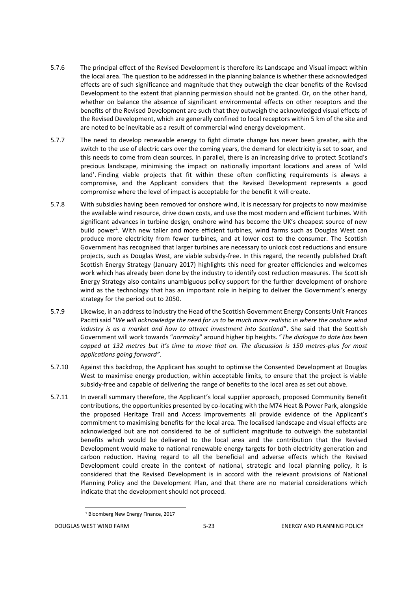- 5.7.6 The principal effect of the Revised Development is therefore its Landscape and Visual impact within the local area. The question to be addressed in the planning balance is whether these acknowledged effects are of such significance and magnitude that they outweigh the clear benefits of the Revised Development to the extent that planning permission should not be granted. Or, on the other hand, whether on balance the absence of significant environmental effects on other receptors and the benefits of the Revised Development are such that they outweigh the acknowledged visual effects of the Revised Development, which are generally confined to local receptors within 5 km of the site and are noted to be inevitable as a result of commercial wind energy development.
- 5.7.7 The need to develop renewable energy to fight climate change has never been greater, with the switch to the use of electric cars over the coming years, the demand for electricity is set to soar, and this needs to come from clean sources. In parallel, there is an increasing drive to protect Scotland's precious landscape, minimising the impact on nationally important locations and areas of 'wild land'. Finding viable projects that fit within these often conflicting requirements is always a compromise, and the Applicant considers that the Revised Development represents a good compromise where the level of impact is acceptable for the benefit it will create.
- 5.7.8 With subsidies having been removed for onshore wind, it is necessary for projects to now maximise the available wind resource, drive down costs, and use the most modern and efficient turbines. With significant advances in turbine design, onshore wind has become the UK's cheapest source of new build power<sup>1</sup>. With new taller and more efficient turbines, wind farms such as Douglas West can produce more electricity from fewer turbines, and at lower cost to the consumer. The Scottish Government has recognised that larger turbines are necessary to unlock cost reductions and ensure projects, such as Douglas West, are viable subsidy-free. In this regard, the recently published Draft Scottish Energy Strategy (January 2017) highlights this need for greater efficiencies and welcomes work which has already been done by the industry to identify cost reduction measures. The Scottish Energy Strategy also contains unambiguous policy support for the further development of onshore wind as the technology that has an important role in helping to deliver the Government's energy strategy for the period out to 2050.
- 5.7.9 Likewise, in an addressto industry the Head of the Scottish Government Energy Consents Unit Frances Pacitti said "*We will acknowledge the need for us to be much more realistic in where the onshore wind industry is as a market and how to attract investment into Scotland*". She said that the Scottish Government will work towards "*normalcy*" around higher tip heights. "*The dialogue to date has been capped at 132 metres but it's time to move that on. The discussion is 150 metres-plus for most applications going forward".*
- 5.7.10 Against this backdrop, the Applicant has sought to optimise the Consented Development at Douglas West to maximise energy production, within acceptable limits, to ensure that the project is viable subsidy-free and capable of delivering the range of benefits to the local area as set out above.
- 5.7.11 In overall summary therefore, the Applicant's local supplier approach, proposed Community Benefit contributions, the opportunities presented by co-locating with the M74 Heat & Power Park, alongside the proposed Heritage Trail and Access Improvements all provide evidence of the Applicant's commitment to maximising benefits for the local area. The localised landscape and visual effects are acknowledged but are not considered to be of sufficient magnitude to outweigh the substantial benefits which would be delivered to the local area and the contribution that the Revised Development would make to national renewable energy targets for both electricity generation and carbon reduction. Having regard to all the beneficial and adverse effects which the Revised Development could create in the context of national, strategic and local planning policy, it is considered that the Revised Development is in accord with the relevant provisions of National Planning Policy and the Development Plan, and that there are no material considerations which indicate that the development should not proceed.

<sup>1</sup> Bloomberg New Energy Finance, 2017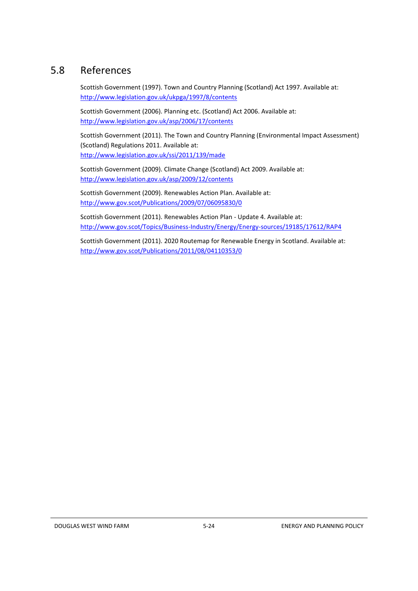# <span id="page-37-0"></span>5.8 References

Scottish Government (1997). Town and Country Planning (Scotland) Act 1997. Available at: <http://www.legislation.gov.uk/ukpga/1997/8/contents>

Scottish Government (2006). Planning etc. (Scotland) Act 2006. Available at: <http://www.legislation.gov.uk/asp/2006/17/contents>

Scottish Government (2011). The Town and Country Planning (Environmental Impact Assessment) (Scotland) Regulations 2011. Available at: <http://www.legislation.gov.uk/ssi/2011/139/made>

Scottish Government (2009). Climate Change (Scotland) Act 2009. Available at: <http://www.legislation.gov.uk/asp/2009/12/contents>

Scottish Government (2009). Renewables Action Plan. Available at: <http://www.gov.scot/Publications/2009/07/06095830/0>

Scottish Government (2011). Renewables Action Plan - Update 4. Available at: <http://www.gov.scot/Topics/Business-Industry/Energy/Energy-sources/19185/17612/RAP4>

Scottish Government (2011). 2020 Routemap for Renewable Energy in Scotland. Available at: <http://www.gov.scot/Publications/2011/08/04110353/0>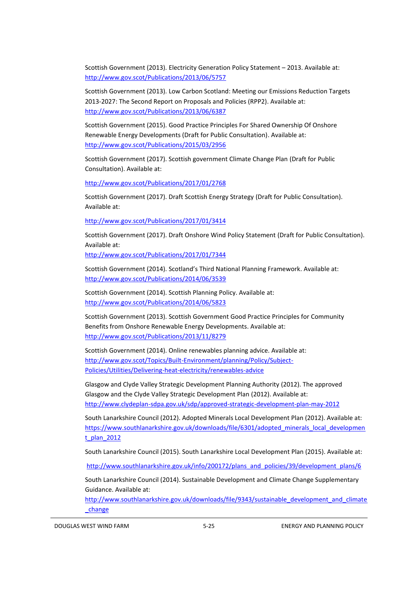Scottish Government (2013). Electricity Generation Policy Statement – 2013. Available at: <http://www.gov.scot/Publications/2013/06/5757>

Scottish Government (2013). Low Carbon Scotland: Meeting our Emissions Reduction Targets 2013-2027: The Second Report on Proposals and Policies (RPP2). Available at: <http://www.gov.scot/Publications/2013/06/6387>

Scottish Government (2015). Good Practice Principles For Shared Ownership Of Onshore Renewable Energy Developments (Draft for Public Consultation). Available at: <http://www.gov.scot/Publications/2015/03/2956>

Scottish Government (2017). Scottish government Climate Change Plan (Draft for Public Consultation). Available at:

<http://www.gov.scot/Publications/2017/01/2768>

Scottish Government (2017). Draft Scottish Energy Strategy (Draft for Public Consultation). Available at:

<http://www.gov.scot/Publications/2017/01/3414>

Scottish Government (2017). Draft Onshore Wind Policy Statement (Draft for Public Consultation). Available at:

<http://www.gov.scot/Publications/2017/01/7344>

Scottish Government (2014). Scotland's Third National Planning Framework. Available at: <http://www.gov.scot/Publications/2014/06/3539>

Scottish Government (2014). Scottish Planning Policy. Available at: <http://www.gov.scot/Publications/2014/06/5823>

Scottish Government (2013). Scottish Government Good Practice Principles for Community Benefits from Onshore Renewable Energy Developments. Available at: <http://www.gov.scot/Publications/2013/11/8279>

Scottish Government (2014). Online renewables planning advice. Available at: [http://www.gov.scot/Topics/Built-Environment/planning/Policy/Subject-](http://www.gov.scot/Topics/Built-Environment/planning/Policy/Subject-Policies/Utilities/Delivering-heat-electricity/renewables-advice)[Policies/Utilities/Delivering-heat-electricity/renewables-advice](http://www.gov.scot/Topics/Built-Environment/planning/Policy/Subject-Policies/Utilities/Delivering-heat-electricity/renewables-advice)

Glasgow and Clyde Valley Strategic Development Planning Authority (2012). The approved Glasgow and the Clyde Valley Strategic Development Plan (2012). Available at: <http://www.clydeplan-sdpa.gov.uk/sdp/approved-strategic-development-plan-may-2012>

South Lanarkshire Council (2012). Adopted Minerals Local Development Plan (2012). Available at: [https://www.southlanarkshire.gov.uk/downloads/file/6301/adopted\\_minerals\\_local\\_developmen](https://www.southlanarkshire.gov.uk/downloads/file/6301/adopted_minerals_local_development_plan_2012) [t\\_plan\\_2012](https://www.southlanarkshire.gov.uk/downloads/file/6301/adopted_minerals_local_development_plan_2012)

South Lanarkshire Council (2015). South Lanarkshire Local Development Plan (2015). Available at:

[http://www.southlanarkshire.gov.uk/info/200172/plans\\_and\\_policies/39/development\\_plans/6](http://www.southlanarkshire.gov.uk/info/200172/plans_and_policies/39/development_plans/6)

South Lanarkshire Council (2014). Sustainable Development and Climate Change Supplementary Guidance. Available at:

[http://www.southlanarkshire.gov.uk/downloads/file/9343/sustainable\\_development\\_and\\_climate](http://www.southlanarkshire.gov.uk/downloads/file/9343/sustainable_development_and_climate_change) [\\_change](http://www.southlanarkshire.gov.uk/downloads/file/9343/sustainable_development_and_climate_change)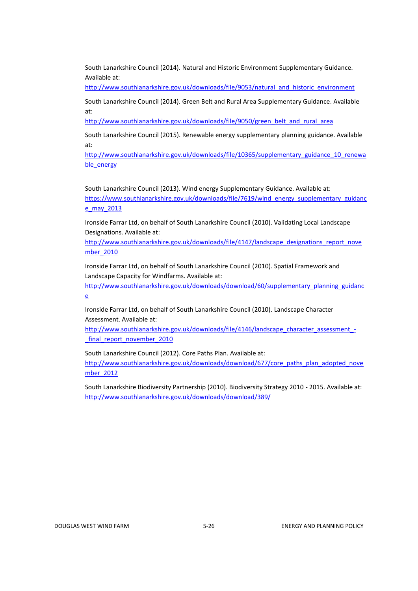South Lanarkshire Council (2014). Natural and Historic Environment Supplementary Guidance. Available at:

[http://www.southlanarkshire.gov.uk/downloads/file/9053/natural\\_and\\_historic\\_environment](http://www.southlanarkshire.gov.uk/downloads/file/9053/natural_and_historic_environment)

South Lanarkshire Council (2014). Green Belt and Rural Area Supplementary Guidance. Available at:

[http://www.southlanarkshire.gov.uk/downloads/file/9050/green\\_belt\\_and\\_rural\\_area](http://www.southlanarkshire.gov.uk/downloads/file/9050/green_belt_and_rural_area)

South Lanarkshire Council (2015). Renewable energy supplementary planning guidance. Available at:

[http://www.southlanarkshire.gov.uk/downloads/file/10365/supplementary\\_guidance\\_10\\_renewa](http://www.southlanarkshire.gov.uk/downloads/file/10365/supplementary_guidance_10_renewable_energy) [ble\\_energy](http://www.southlanarkshire.gov.uk/downloads/file/10365/supplementary_guidance_10_renewable_energy)

South Lanarkshire Council (2013). Wind energy Supplementary Guidance. Available at: [https://www.southlanarkshire.gov.uk/downloads/file/7619/wind\\_energy\\_supplementary\\_guidanc](https://www.southlanarkshire.gov.uk/downloads/file/7619/wind_energy_supplementary_guidance_may_2013) [e\\_may\\_2013](https://www.southlanarkshire.gov.uk/downloads/file/7619/wind_energy_supplementary_guidance_may_2013)

Ironside Farrar Ltd, on behalf of South Lanarkshire Council (2010). Validating Local Landscape Designations. Available at:

[http://www.southlanarkshire.gov.uk/downloads/file/4147/landscape\\_designations\\_report\\_nove](http://www.southlanarkshire.gov.uk/downloads/file/4147/landscape_designations_report_november_2010) [mber\\_2010](http://www.southlanarkshire.gov.uk/downloads/file/4147/landscape_designations_report_november_2010)

Ironside Farrar Ltd, on behalf of South Lanarkshire Council (2010). Spatial Framework and Landscape Capacity for Windfarms. Available at:

[http://www.southlanarkshire.gov.uk/downloads/download/60/supplementary\\_planning\\_guidanc](http://www.southlanarkshire.gov.uk/downloads/download/60/supplementary_planning_guidance) [e](http://www.southlanarkshire.gov.uk/downloads/download/60/supplementary_planning_guidance)

Ironside Farrar Ltd, on behalf of South Lanarkshire Council (2010). Landscape Character Assessment. Available at:

[http://www.southlanarkshire.gov.uk/downloads/file/4146/landscape\\_character\\_assessment\\_-](http://www.southlanarkshire.gov.uk/downloads/file/4146/landscape_character_assessment_-_final_report_november_2010) [\\_final\\_report\\_november\\_2010](http://www.southlanarkshire.gov.uk/downloads/file/4146/landscape_character_assessment_-_final_report_november_2010)

South Lanarkshire Council (2012). Core Paths Plan. Available at: [http://www.southlanarkshire.gov.uk/downloads/download/677/core\\_paths\\_plan\\_adopted\\_nove](http://www.southlanarkshire.gov.uk/downloads/download/677/core_paths_plan_adopted_november_2012) [mber\\_2012](http://www.southlanarkshire.gov.uk/downloads/download/677/core_paths_plan_adopted_november_2012)

South Lanarkshire Biodiversity Partnership (2010). Biodiversity Strategy 2010 - 2015. Available at: <http://www.southlanarkshire.gov.uk/downloads/download/389/>